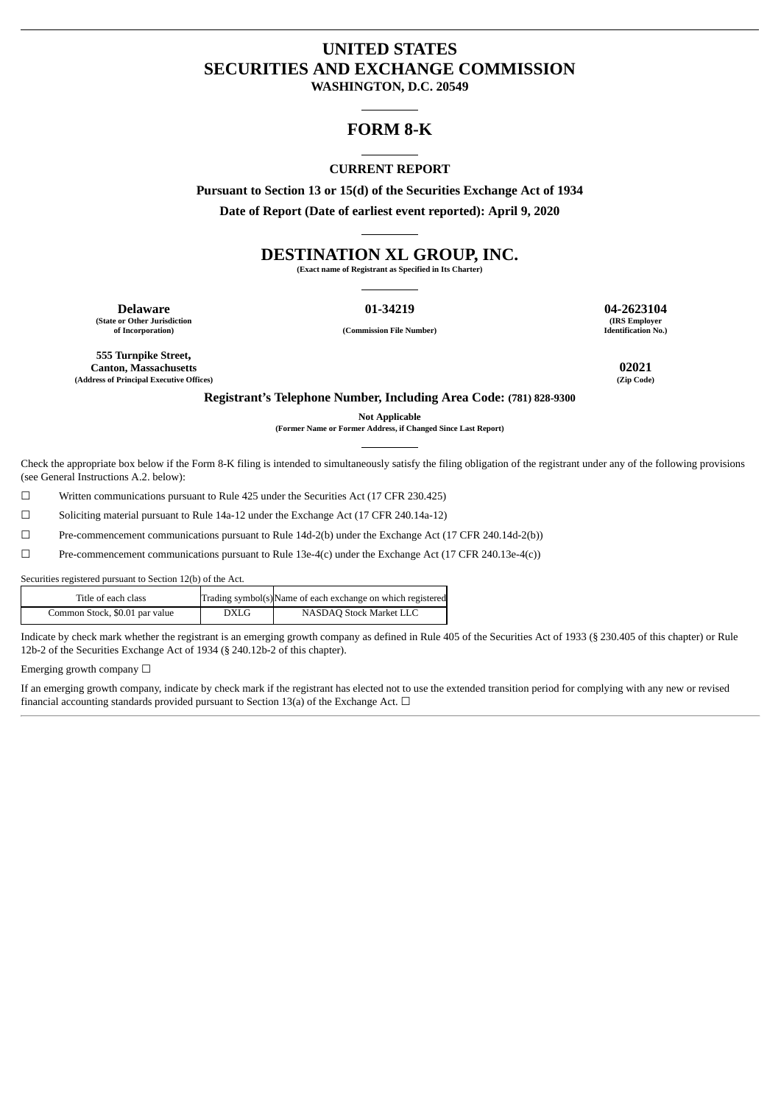# **UNITED STATES SECURITIES AND EXCHANGE COMMISSION**

**WASHINGTON, D.C. 20549**

## **FORM 8-K**

### **CURRENT REPORT**

**Pursuant to Section 13 or 15(d) of the Securities Exchange Act of 1934 Date of Report (Date of earliest event reported): April 9, 2020**

# **DESTINATION XL GROUP, INC.**

**(Exact name of Registrant as Specified in Its Charter)**

**Delaware 01-34219 04-2623104 (State or Other Jurisdiction**

**of Incorporation) (Commission File Number)**

**(IRS Employer Identification No.)**

**555 Turnpike Street, Canton, Massachusetts 02021 (Address of Principal Executive Offices) (Zip Code)**

**Registrant's Telephone Number, Including Area Code: (781) 828-9300**

**Not Applicable**

**(Former Name or Former Address, if Changed Since Last Report)**

Check the appropriate box below if the Form 8-K filing is intended to simultaneously satisfy the filing obligation of the registrant under any of the following provisions (see General Instructions A.2. below):

☐ Written communications pursuant to Rule 425 under the Securities Act (17 CFR 230.425)

☐ Soliciting material pursuant to Rule 14a-12 under the Exchange Act (17 CFR 240.14a-12)

☐ Pre-commencement communications pursuant to Rule 14d-2(b) under the Exchange Act (17 CFR 240.14d-2(b))

☐ Pre-commencement communications pursuant to Rule 13e-4(c) under the Exchange Act (17 CFR 240.13e-4(c))

Securities registered pursuant to Section 12(b) of the Act.

| Title of each class            |      | Trading symbol(s)Name of each exchange on which registered |
|--------------------------------|------|------------------------------------------------------------|
| Common Stock, \$0.01 par value | DXLG | NASDAO Stock Market LLC                                    |

Indicate by check mark whether the registrant is an emerging growth company as defined in Rule 405 of the Securities Act of 1933 (§ 230.405 of this chapter) or Rule 12b-2 of the Securities Exchange Act of 1934 (§ 240.12b-2 of this chapter).

Emerging growth company  $\Box$ 

If an emerging growth company, indicate by check mark if the registrant has elected not to use the extended transition period for complying with any new or revised financial accounting standards provided pursuant to Section 13(a) of the Exchange Act.  $\Box$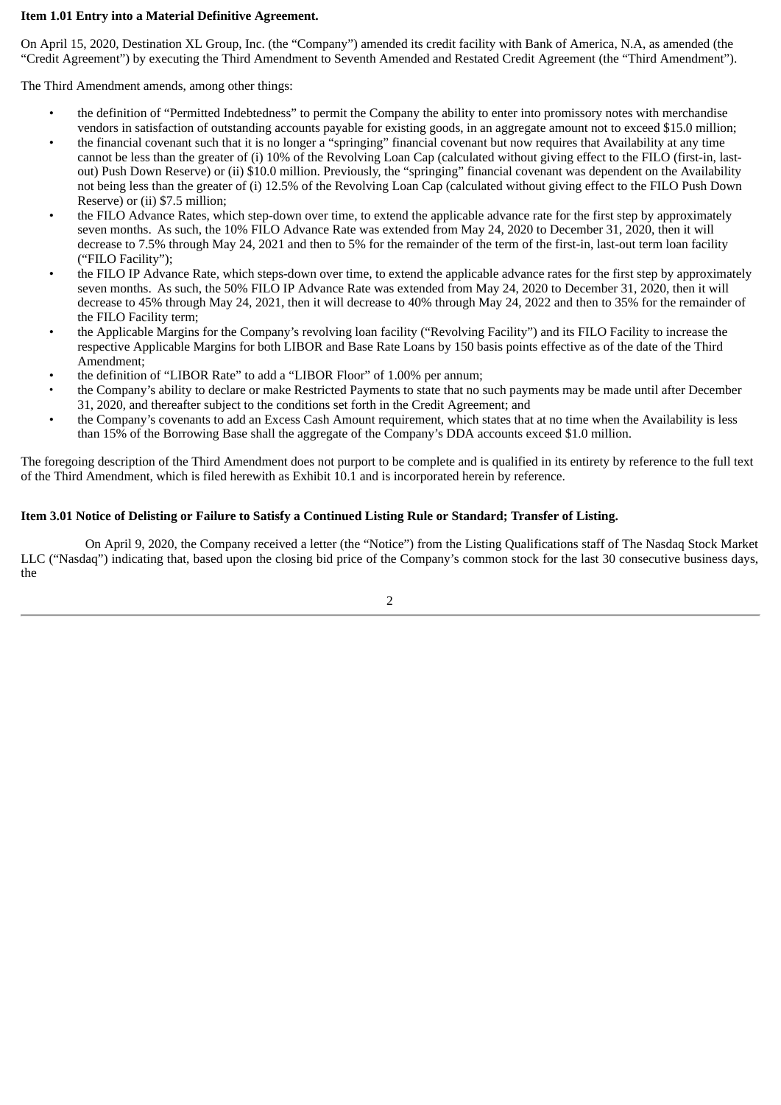### **Item 1.01 Entry into a Material Definitive Agreement.**

On April 15, 2020, Destination XL Group, Inc. (the "Company") amended its credit facility with Bank of America, N.A, as amended (the "Credit Agreement") by executing the Third Amendment to Seventh Amended and Restated Credit Agreement (the "Third Amendment").

The Third Amendment amends, among other things:

- the definition of "Permitted Indebtedness" to permit the Company the ability to enter into promissory notes with merchandise vendors in satisfaction of outstanding accounts payable for existing goods, in an aggregate amount not to exceed \$15.0 million;
- the financial covenant such that it is no longer a "springing" financial covenant but now requires that Availability at any time cannot be less than the greater of (i) 10% of the Revolving Loan Cap (calculated without giving effect to the FILO (first-in, lastout) Push Down Reserve) or (ii) \$10.0 million. Previously, the "springing" financial covenant was dependent on the Availability not being less than the greater of (i) 12.5% of the Revolving Loan Cap (calculated without giving effect to the FILO Push Down Reserve) or (ii) \$7.5 million;
- the FILO Advance Rates, which step-down over time, to extend the applicable advance rate for the first step by approximately seven months. As such, the 10% FILO Advance Rate was extended from May 24, 2020 to December 31, 2020, then it will decrease to 7.5% through May 24, 2021 and then to 5% for the remainder of the term of the first-in, last-out term loan facility ("FILO Facility");
- the FILO IP Advance Rate, which steps-down over time, to extend the applicable advance rates for the first step by approximately seven months. As such, the 50% FILO IP Advance Rate was extended from May 24, 2020 to December 31, 2020, then it will decrease to 45% through May 24, 2021, then it will decrease to 40% through May 24, 2022 and then to 35% for the remainder of the FILO Facility term;
- the Applicable Margins for the Company's revolving loan facility ("Revolving Facility") and its FILO Facility to increase the respective Applicable Margins for both LIBOR and Base Rate Loans by 150 basis points effective as of the date of the Third Amendment;
- the definition of "LIBOR Rate" to add a "LIBOR Floor" of 1.00% per annum;
- the Company's ability to declare or make Restricted Payments to state that no such payments may be made until after December 31, 2020, and thereafter subject to the conditions set forth in the Credit Agreement; and
- the Company's covenants to add an Excess Cash Amount requirement, which states that at no time when the Availability is less than 15% of the Borrowing Base shall the aggregate of the Company's DDA accounts exceed \$1.0 million.

The foregoing description of the Third Amendment does not purport to be complete and is qualified in its entirety by reference to the full text of the Third Amendment, which is filed herewith as Exhibit 10.1 and is incorporated herein by reference.

### **Item 3.01 Notice of Delisting or Failure to Satisfy a Continued Listing Rule or Standard; Transfer of Listing.**

On April 9, 2020, the Company received a letter (the "Notice") from the Listing Qualifications staff of The Nasdaq Stock Market LLC ("Nasdaq") indicating that, based upon the closing bid price of the Company's common stock for the last 30 consecutive business days, the

2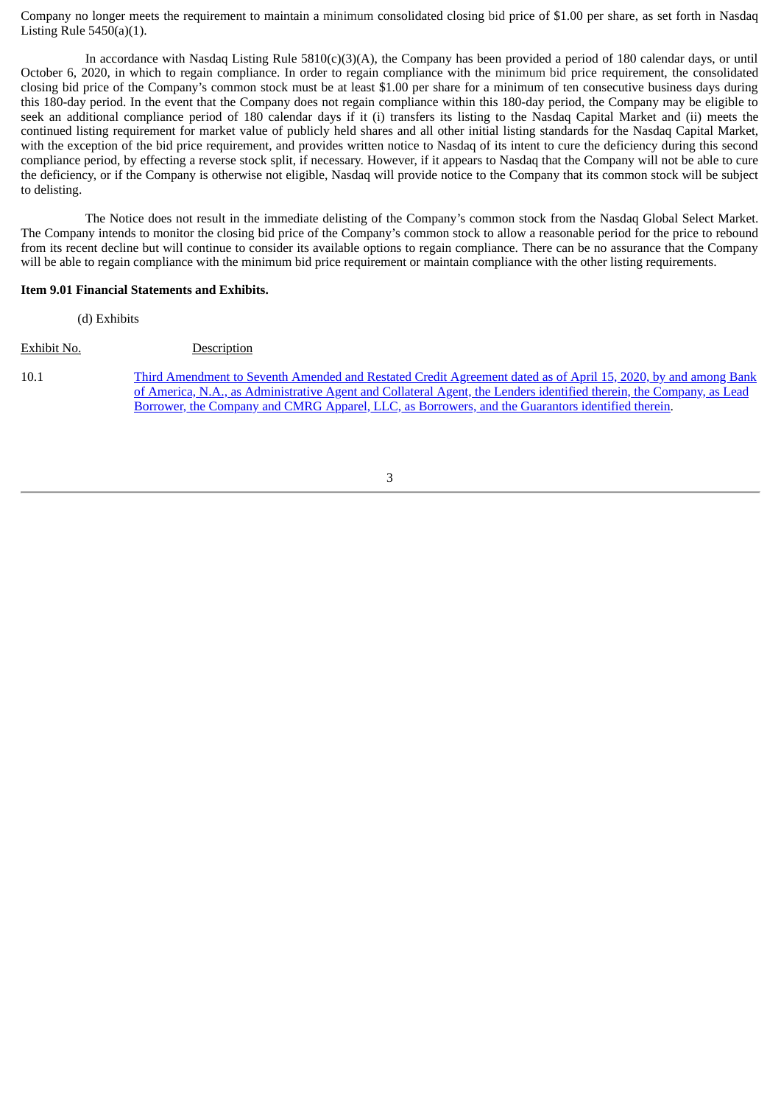Company no longer meets the requirement to maintain a minimum consolidated closing bid price of \$1.00 per share, as set forth in Nasdaq Listing Rule  $5450(a)(1)$ .

In accordance with Nasdaq Listing Rule  $5810(c)(3)(A)$ , the Company has been provided a period of 180 calendar days, or until October 6, 2020, in which to regain compliance. In order to regain compliance with the minimum bid price requirement, the consolidated closing bid price of the Company's common stock must be at least \$1.00 per share for a minimum of ten consecutive business days during this 180-day period. In the event that the Company does not regain compliance within this 180-day period, the Company may be eligible to seek an additional compliance period of 180 calendar days if it (i) transfers its listing to the Nasdaq Capital Market and (ii) meets the continued listing requirement for market value of publicly held shares and all other initial listing standards for the Nasdaq Capital Market, with the exception of the bid price requirement, and provides written notice to Nasdaq of its intent to cure the deficiency during this second compliance period, by effecting a reverse stock split, if necessary. However, if it appears to Nasdaq that the Company will not be able to cure the deficiency, or if the Company is otherwise not eligible, Nasdaq will provide notice to the Company that its common stock will be subject to delisting.

The Notice does not result in the immediate delisting of the Company's common stock from the Nasdaq Global Select Market. The Company intends to monitor the closing bid price of the Company's common stock to allow a reasonable period for the price to rebound from its recent decline but will continue to consider its available options to regain compliance. There can be no assurance that the Company will be able to regain compliance with the minimum bid price requirement or maintain compliance with the other listing requirements.

#### **Item 9.01 Financial Statements and Exhibits.**

(d) Exhibits

Exhibit No. Description

10.1 [Third Amendment to Seventh Amended and Restated Credit Agreement dated as of April 15, 2020, by and among Bank](#page-4-0) of America, N.A., as Administrative Agent and Collateral Agent, the Lenders identified therein, the Company, as Lead Borrower, the Company and CMRG Apparel, LLC, as Borrowers, and the Guarantors identified therein.

3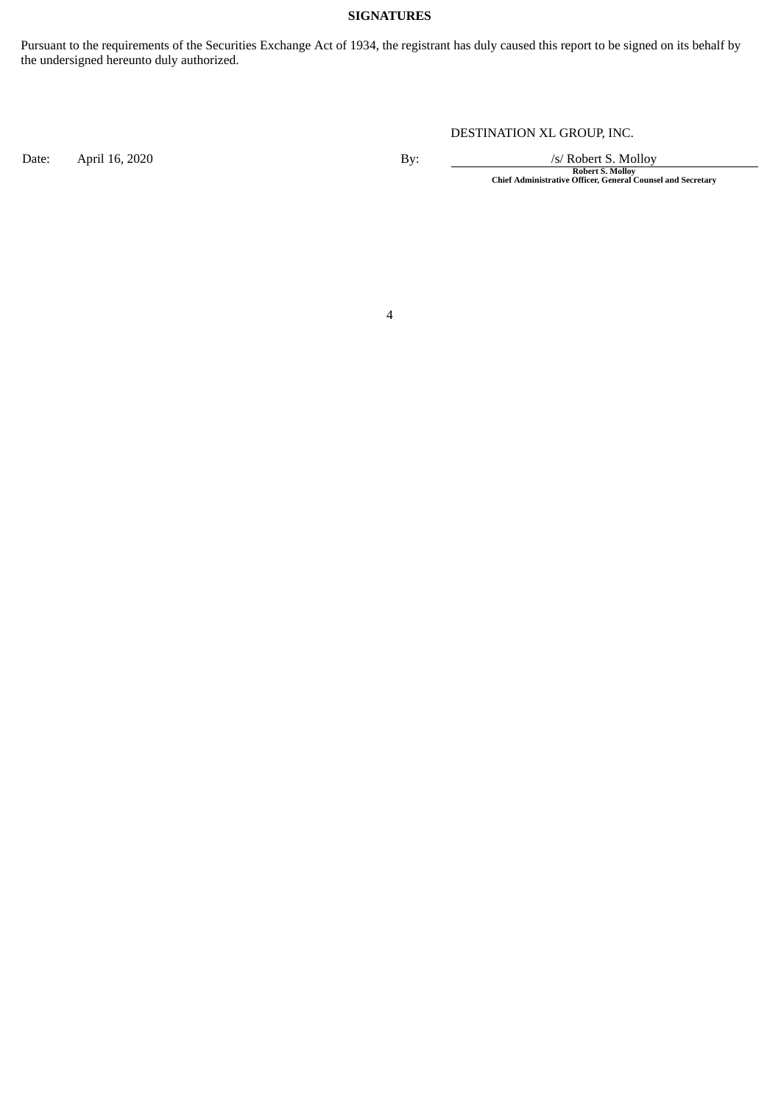### **SIGNATURES**

Pursuant to the requirements of the Securities Exchange Act of 1934, the registrant has duly caused this report to be signed on its behalf by the undersigned hereunto duly authorized.

DESTINATION XL GROUP, INC.

Date: April 16, 2020<br>By: /s/ Robert S. Molloy<br>Chief Administrative Officer, General Counsel and Secretary

4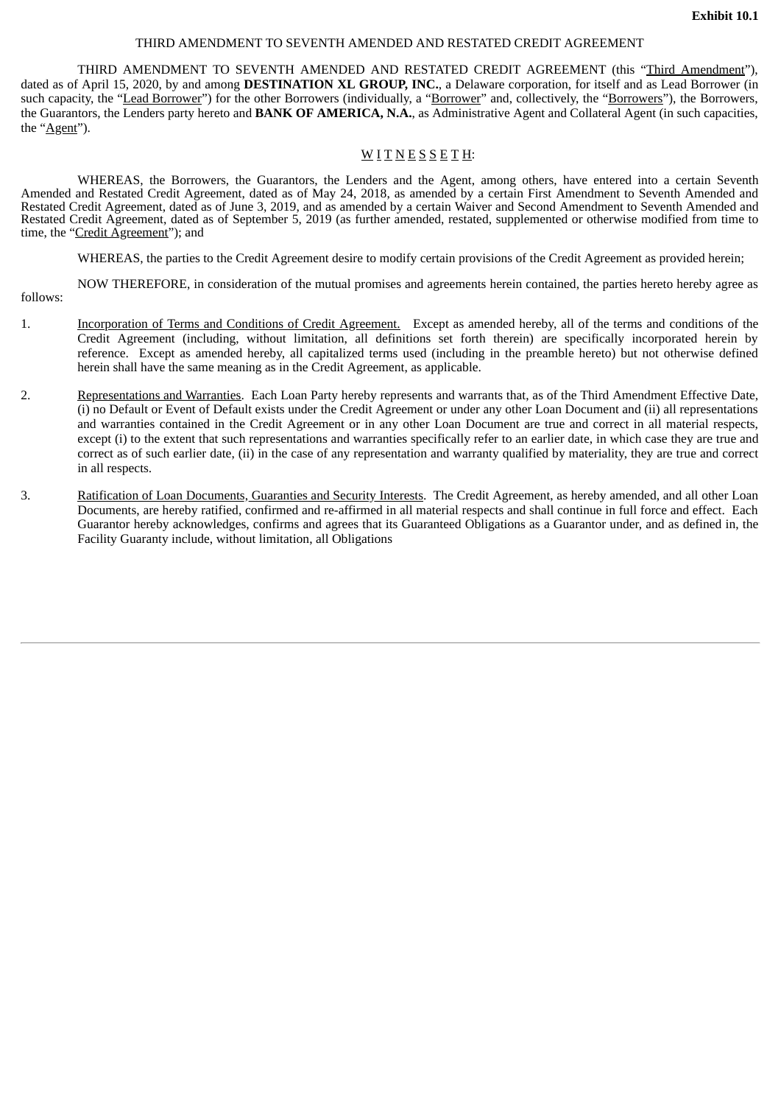#### THIRD AMENDMENT TO SEVENTH AMENDED AND RESTATED CREDIT AGREEMENT

<span id="page-4-0"></span>THIRD AMENDMENT TO SEVENTH AMENDED AND RESTATED CREDIT AGREEMENT (this "Third Amendment"), dated as of April 15, 2020, by and among **DESTINATION XL GROUP, INC.**, a Delaware corporation, for itself and as Lead Borrower (in such capacity, the "Lead Borrower") for the other Borrowers (individually, a "Borrower" and, collectively, the "Borrowers"), the Borrowers, the Guarantors, the Lenders party hereto and **BANK OF AMERICA, N.A.**, as Administrative Agent and Collateral Agent (in such capacities, the "Agent").

### WITNESSETH:

WHEREAS, the Borrowers, the Guarantors, the Lenders and the Agent, among others, have entered into a certain Seventh Amended and Restated Credit Agreement, dated as of May 24, 2018, as amended by a certain First Amendment to Seventh Amended and Restated Credit Agreement, dated as of June 3, 2019, and as amended by a certain Waiver and Second Amendment to Seventh Amended and Restated Credit Agreement, dated as of September 5, 2019 (as further amended, restated, supplemented or otherwise modified from time to time, the "Credit Agreement"); and

WHEREAS, the parties to the Credit Agreement desire to modify certain provisions of the Credit Agreement as provided herein;

NOW THEREFORE, in consideration of the mutual promises and agreements herein contained, the parties hereto hereby agree as follows:

- 1. Incorporation of Terms and Conditions of Credit Agreement. Except as amended hereby, all of the terms and conditions of the Credit Agreement (including, without limitation, all definitions set forth therein) are specifically incorporated herein by reference. Except as amended hereby, all capitalized terms used (including in the preamble hereto) but not otherwise defined herein shall have the same meaning as in the Credit Agreement, as applicable.
- 2. Representations and Warranties. Each Loan Party hereby represents and warrants that, as of the Third Amendment Effective Date, (i) no Default or Event of Default exists under the Credit Agreement or under any other Loan Document and (ii) all representations and warranties contained in the Credit Agreement or in any other Loan Document are true and correct in all material respects, except (i) to the extent that such representations and warranties specifically refer to an earlier date, in which case they are true and correct as of such earlier date, (ii) in the case of any representation and warranty qualified by materiality, they are true and correct in all respects.
- 3. Ratification of Loan Documents, Guaranties and Security Interests. The Credit Agreement, as hereby amended, and all other Loan Documents, are hereby ratified, confirmed and re-affirmed in all material respects and shall continue in full force and effect. Each Guarantor hereby acknowledges, confirms and agrees that its Guaranteed Obligations as a Guarantor under, and as defined in, the Facility Guaranty include, without limitation, all Obligations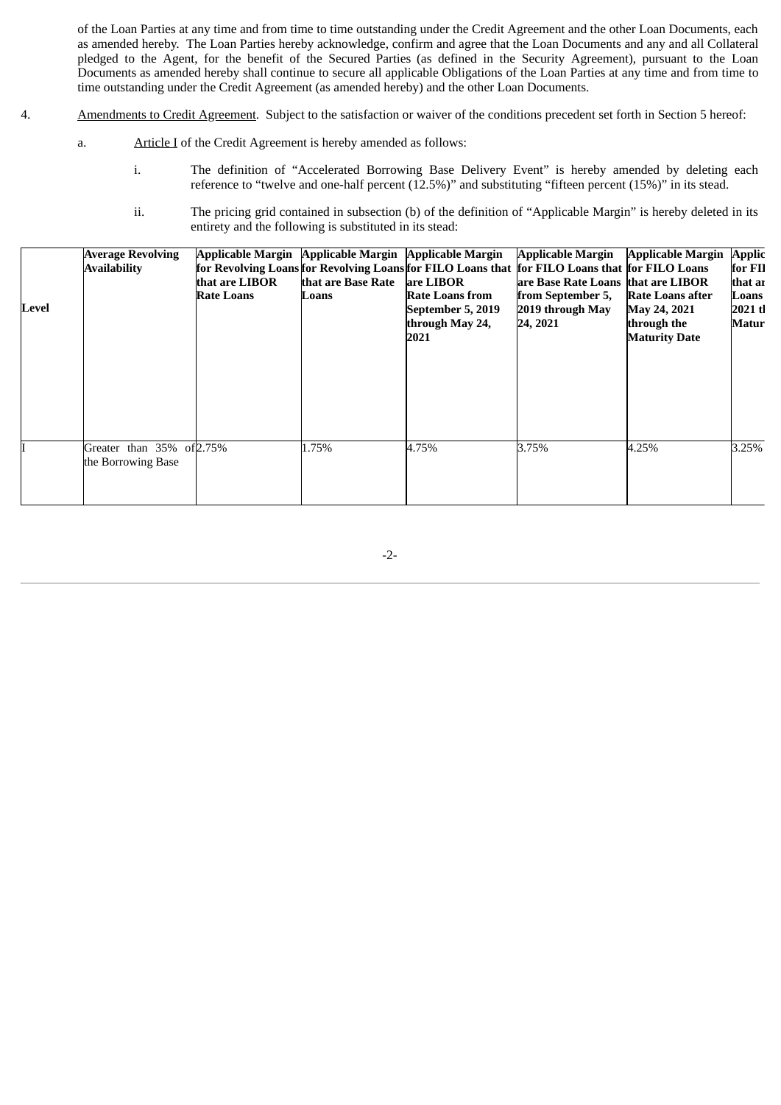of the Loan Parties at any time and from time to time outstanding under the Credit Agreement and the other Loan Documents, each as amended hereby. The Loan Parties hereby acknowledge, confirm and agree that the Loan Documents and any and all Collateral pledged to the Agent, for the benefit of the Secured Parties (as defined in the Security Agreement), pursuant to the Loan Documents as amended hereby shall continue to secure all applicable Obligations of the Loan Parties at any time and from time to time outstanding under the Credit Agreement (as amended hereby) and the other Loan Documents.

- 4. Amendments to Credit Agreement. Subject to the satisfaction or waiver of the conditions precedent set forth in Section 5 hereof:
	- a. Article I of the Credit Agreement is hereby amended as follows:
		- i. The definition of "Accelerated Borrowing Base Delivery Event" is hereby amended by deleting each reference to "twelve and one-half percent (12.5%)" and substituting "fifteen percent (15%)" in its stead.
		- ii. The pricing grid contained in subsection (b) of the definition of "Applicable Margin" is hereby deleted in its entirety and the following is substituted in its stead:

| Level | <b>Average Revolving</b><br><b>Availability</b> | Applicable Margin Applicable Margin Applicable Margin<br>that are LIBOR<br><b>Rate Loans</b> | that are Base Rate<br>Loans | are LIBOR<br>Rate Loans from<br>September 5, 2019<br>through May 24,<br>2021 | <b>Applicable Margin</b><br>for Revolving Loans for Revolving Loans for FILO Loans that for FILO Loans that for FILO Loans<br>are Base Rate Loans that are LIBOR<br>from September 5,<br>2019 through May<br>24, 2021 | <b>Applicable Margin</b><br>Rate Loans after<br>May 24, 2021<br>through the<br><b>Maturity Date</b> | <b>Applic</b><br>for FII<br>that ar<br>Loans<br>$2021$ tl<br>Matur |
|-------|-------------------------------------------------|----------------------------------------------------------------------------------------------|-----------------------------|------------------------------------------------------------------------------|-----------------------------------------------------------------------------------------------------------------------------------------------------------------------------------------------------------------------|-----------------------------------------------------------------------------------------------------|--------------------------------------------------------------------|
|       | Greater than 35% of 2.75%<br>the Borrowing Base |                                                                                              | 1.75%                       | 4.75%                                                                        | 3.75%                                                                                                                                                                                                                 | 4.25%                                                                                               | 3.25%                                                              |

-2-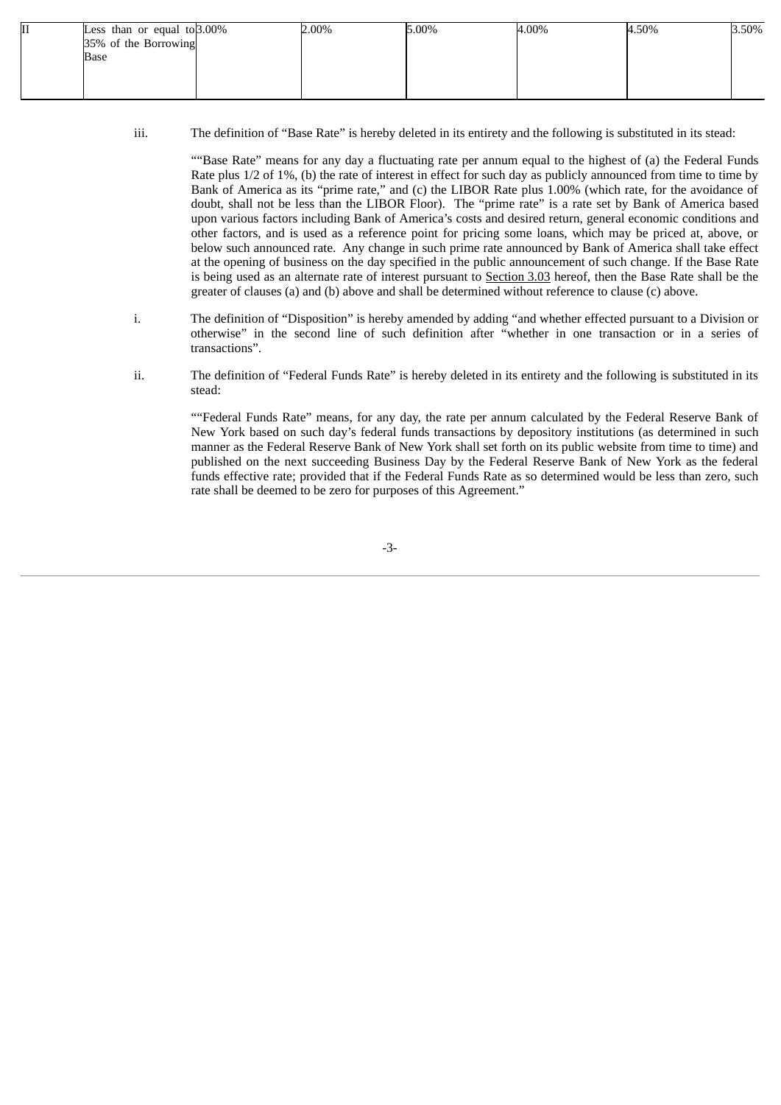| 11 | Less than or equal to $3.00\%$ | 2.00% | 5.00% | 4.00% | 4.50% | 3.50% |
|----|--------------------------------|-------|-------|-------|-------|-------|
|    | 35% of the Borrowing           |       |       |       |       |       |
|    | Base                           |       |       |       |       |       |
|    |                                |       |       |       |       |       |
|    |                                |       |       |       |       |       |
|    |                                |       |       |       |       |       |

iii. The definition of "Base Rate" is hereby deleted in its entirety and the following is substituted in its stead:

""Base Rate" means for any day a fluctuating rate per annum equal to the highest of (a) the Federal Funds Rate plus 1/2 of 1%, (b) the rate of interest in effect for such day as publicly announced from time to time by Bank of America as its "prime rate," and (c) the LIBOR Rate plus 1.00% (which rate, for the avoidance of doubt, shall not be less than the LIBOR Floor). The "prime rate" is a rate set by Bank of America based upon various factors including Bank of America's costs and desired return, general economic conditions and other factors, and is used as a reference point for pricing some loans, which may be priced at, above, or below such announced rate. Any change in such prime rate announced by Bank of America shall take effect at the opening of business on the day specified in the public announcement of such change. If the Base Rate is being used as an alternate rate of interest pursuant to Section 3.03 hereof, then the Base Rate shall be the greater of clauses (a) and (b) above and shall be determined without reference to clause (c) above.

- i. The definition of "Disposition" is hereby amended by adding "and whether effected pursuant to a Division or otherwise" in the second line of such definition after "whether in one transaction or in a series of transactions".
- ii. The definition of "Federal Funds Rate" is hereby deleted in its entirety and the following is substituted in its stead:

""Federal Funds Rate" means, for any day, the rate per annum calculated by the Federal Reserve Bank of New York based on such day's federal funds transactions by depository institutions (as determined in such manner as the Federal Reserve Bank of New York shall set forth on its public website from time to time) and published on the next succeeding Business Day by the Federal Reserve Bank of New York as the federal funds effective rate; provided that if the Federal Funds Rate as so determined would be less than zero, such rate shall be deemed to be zero for purposes of this Agreement."

-3-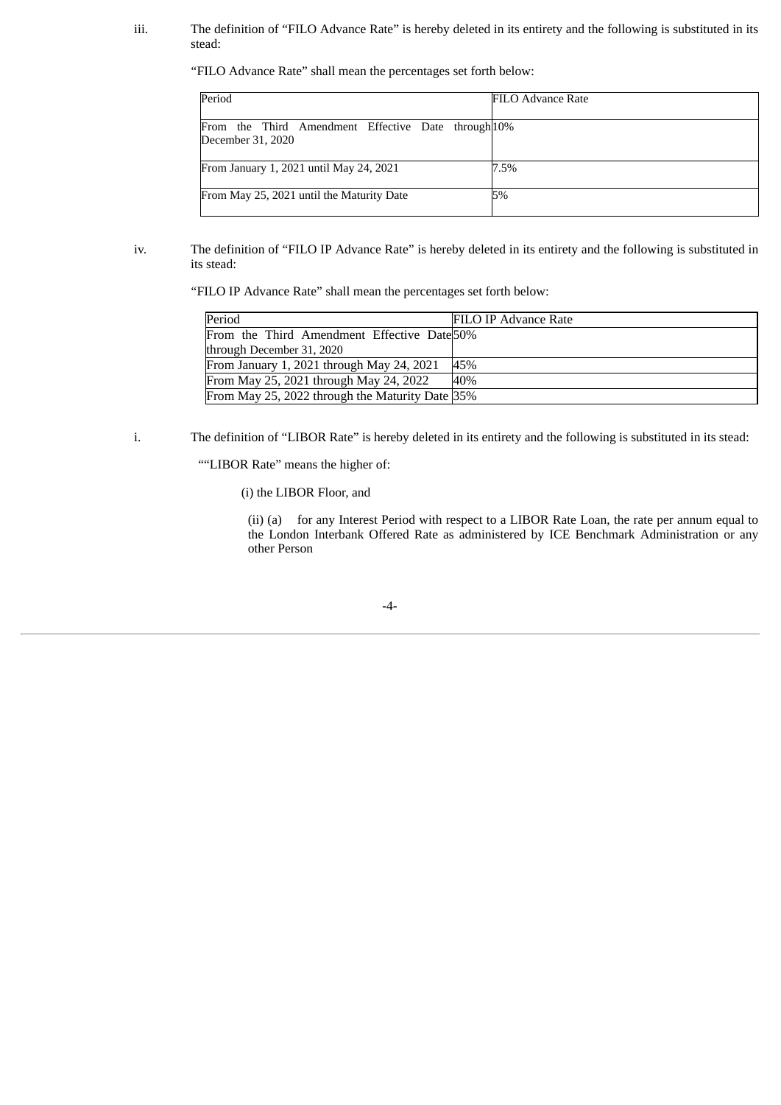iii. The definition of "FILO Advance Rate" is hereby deleted in its entirety and the following is substituted in its stead:

"FILO Advance Rate" shall mean the percentages set forth below:

| Period                                                                   | FILO Advance Rate |
|--------------------------------------------------------------------------|-------------------|
| From the Third Amendment Effective Date through 10%<br>December 31, 2020 |                   |
| From January 1, 2021 until May 24, 2021                                  | 7.5%              |
| From May 25, 2021 until the Maturity Date                                | 5%                |

### iv. The definition of "FILO IP Advance Rate" is hereby deleted in its entirety and the following is substituted in its stead:

"FILO IP Advance Rate" shall mean the percentages set forth below:

| Period                                          | <b>FILO IP Advance Rate</b> |
|-------------------------------------------------|-----------------------------|
| From the Third Amendment Effective Date 50%     |                             |
| through December 31, 2020                       |                             |
| From January 1, 2021 through May 24, 2021       | 45%                         |
| From May 25, 2021 through May 24, 2022          | 40%                         |
| From May 25, 2022 through the Maturity Date 35% |                             |

i. The definition of "LIBOR Rate" is hereby deleted in its entirety and the following is substituted in its stead:

""LIBOR Rate" means the higher of:

(i) the LIBOR Floor, and

(ii) (a) for any Interest Period with respect to a LIBOR Rate Loan, the rate per annum equal to the London Interbank Offered Rate as administered by ICE Benchmark Administration or any other Person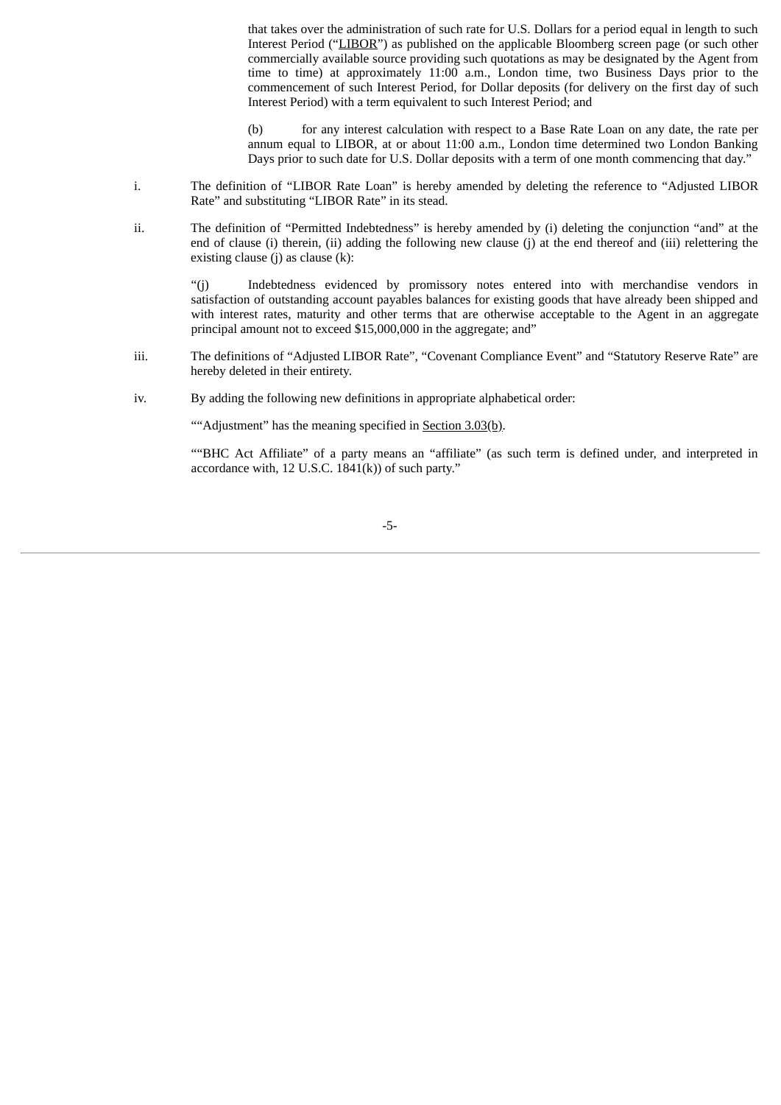that takes over the administration of such rate for U.S. Dollars for a period equal in length to such Interest Period ("LIBOR") as published on the applicable Bloomberg screen page (or such other commercially available source providing such quotations as may be designated by the Agent from time to time) at approximately 11:00 a.m., London time, two Business Days prior to the commencement of such Interest Period, for Dollar deposits (for delivery on the first day of such Interest Period) with a term equivalent to such Interest Period; and

(b) for any interest calculation with respect to a Base Rate Loan on any date, the rate per annum equal to LIBOR, at or about 11:00 a.m., London time determined two London Banking Days prior to such date for U.S. Dollar deposits with a term of one month commencing that day."

- i. The definition of "LIBOR Rate Loan" is hereby amended by deleting the reference to "Adjusted LIBOR Rate" and substituting "LIBOR Rate" in its stead.
- ii. The definition of "Permitted Indebtedness" is hereby amended by (i) deleting the conjunction "and" at the end of clause (i) therein, (ii) adding the following new clause (j) at the end thereof and (iii) relettering the existing clause (j) as clause  $(k)$ :

"(j) Indebtedness evidenced by promissory notes entered into with merchandise vendors in satisfaction of outstanding account payables balances for existing goods that have already been shipped and with interest rates, maturity and other terms that are otherwise acceptable to the Agent in an aggregate principal amount not to exceed \$15,000,000 in the aggregate; and"

- iii. The definitions of "Adjusted LIBOR Rate", "Covenant Compliance Event" and "Statutory Reserve Rate" are hereby deleted in their entirety.
- iv. By adding the following new definitions in appropriate alphabetical order:

""Adjustment" has the meaning specified in Section 3.03(b).

""BHC Act Affiliate" of a party means an "affiliate" (as such term is defined under, and interpreted in accordance with, 12 U.S.C.  $1841(k)$  of such party."

-5-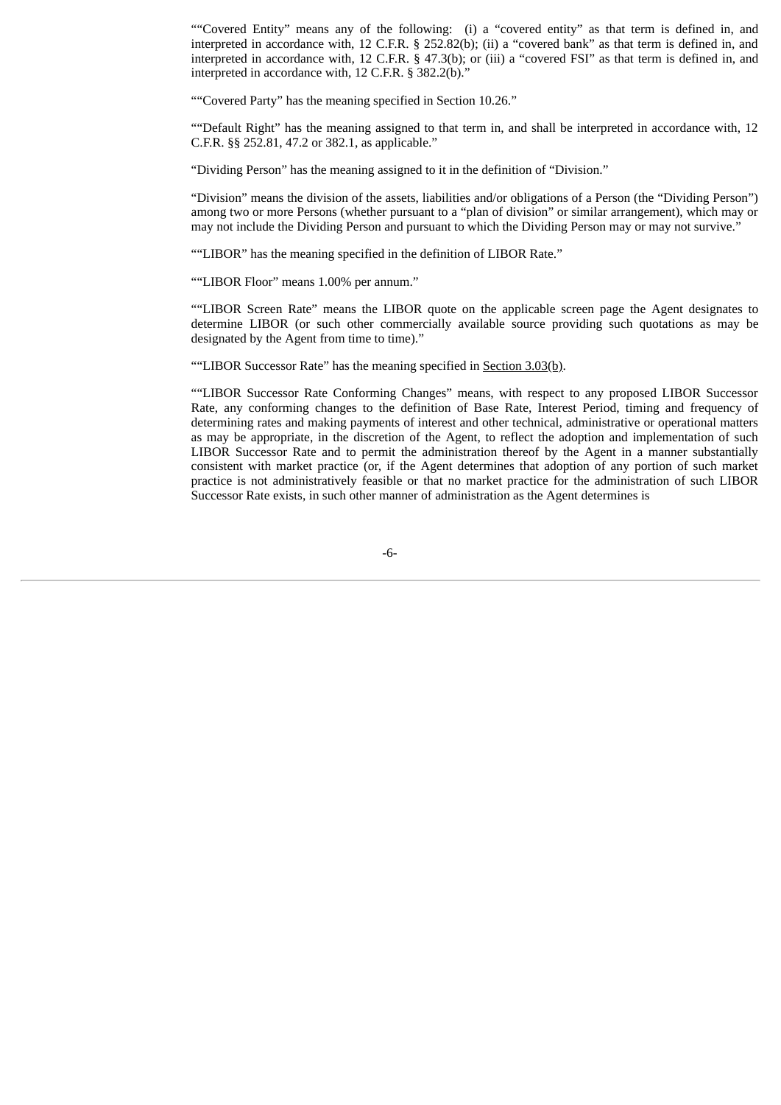""Covered Entity" means any of the following: (i) a "covered entity" as that term is defined in, and interpreted in accordance with, 12 C.F.R. § 252.82(b); (ii) a "covered bank" as that term is defined in, and interpreted in accordance with, 12 C.F.R. § 47.3(b); or (iii) a "covered FSI" as that term is defined in, and interpreted in accordance with, 12 C.F.R. § 382.2(b).'

""Covered Party" has the meaning specified in Section 10.26."

""Default Right" has the meaning assigned to that term in, and shall be interpreted in accordance with, 12 C.F.R. §§ 252.81, 47.2 or 382.1, as applicable."

"Dividing Person" has the meaning assigned to it in the definition of "Division."

"Division" means the division of the assets, liabilities and/or obligations of a Person (the "Dividing Person") among two or more Persons (whether pursuant to a "plan of division" or similar arrangement), which may or may not include the Dividing Person and pursuant to which the Dividing Person may or may not survive."

""LIBOR" has the meaning specified in the definition of LIBOR Rate."

""LIBOR Floor" means 1.00% per annum."

""LIBOR Screen Rate" means the LIBOR quote on the applicable screen page the Agent designates to determine LIBOR (or such other commercially available source providing such quotations as may be designated by the Agent from time to time)."

""LIBOR Successor Rate" has the meaning specified in Section 3.03(b).

""LIBOR Successor Rate Conforming Changes" means, with respect to any proposed LIBOR Successor Rate, any conforming changes to the definition of Base Rate, Interest Period, timing and frequency of determining rates and making payments of interest and other technical, administrative or operational matters as may be appropriate, in the discretion of the Agent, to reflect the adoption and implementation of such LIBOR Successor Rate and to permit the administration thereof by the Agent in a manner substantially consistent with market practice (or, if the Agent determines that adoption of any portion of such market practice is not administratively feasible or that no market practice for the administration of such LIBOR Successor Rate exists, in such other manner of administration as the Agent determines is

-6-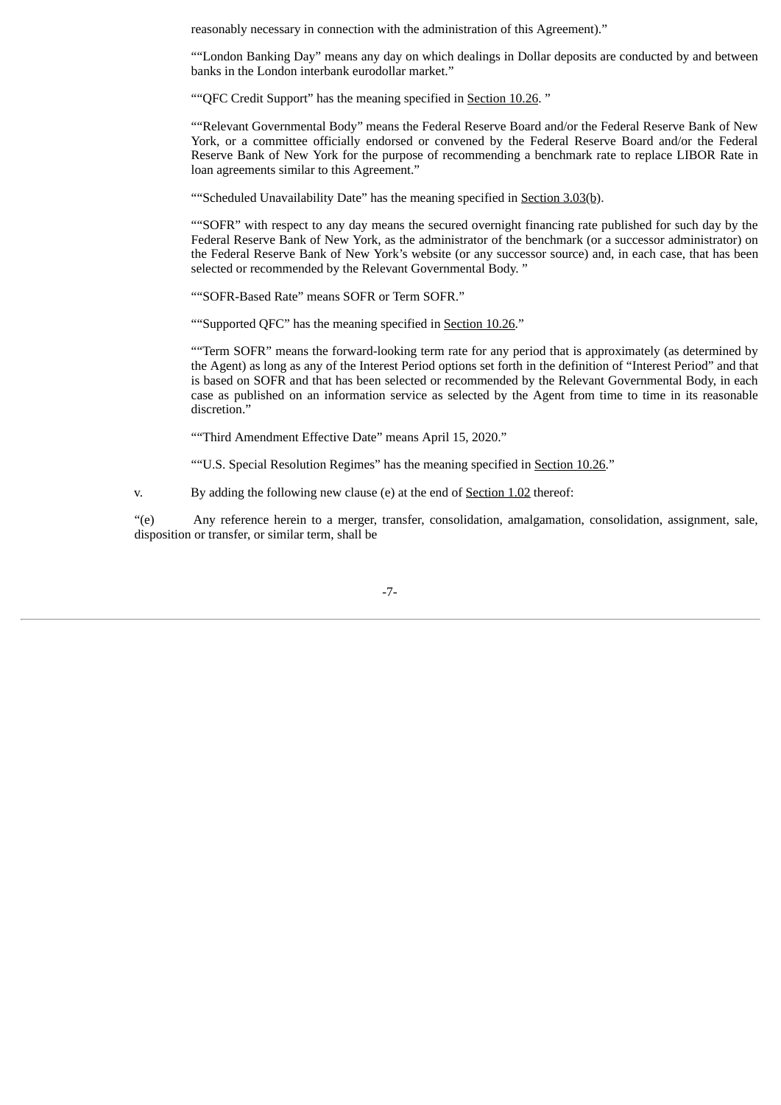reasonably necessary in connection with the administration of this Agreement)."

""London Banking Day" means any day on which dealings in Dollar deposits are conducted by and between banks in the London interbank eurodollar market."

""QFC Credit Support" has the meaning specified in Section 10.26. "

""Relevant Governmental Body" means the Federal Reserve Board and/or the Federal Reserve Bank of New York, or a committee officially endorsed or convened by the Federal Reserve Board and/or the Federal Reserve Bank of New York for the purpose of recommending a benchmark rate to replace LIBOR Rate in loan agreements similar to this Agreement."

""Scheduled Unavailability Date" has the meaning specified in Section 3.03(b).

""SOFR" with respect to any day means the secured overnight financing rate published for such day by the Federal Reserve Bank of New York, as the administrator of the benchmark (or a successor administrator) on the Federal Reserve Bank of New York's website (or any successor source) and, in each case, that has been selected or recommended by the Relevant Governmental Body. "

""SOFR-Based Rate" means SOFR or Term SOFR."

"Supported QFC" has the meaning specified in Section 10.26."

""Term SOFR" means the forward-looking term rate for any period that is approximately (as determined by the Agent) as long as any of the Interest Period options set forth in the definition of "Interest Period" and that is based on SOFR and that has been selected or recommended by the Relevant Governmental Body, in each case as published on an information service as selected by the Agent from time to time in its reasonable discretion."

""Third Amendment Effective Date" means April 15, 2020."

""U.S. Special Resolution Regimes" has the meaning specified in Section 10.26."

v. By adding the following new clause (e) at the end of Section 1.02 thereof:

"(e) Any reference herein to a merger, transfer, consolidation, amalgamation, consolidation, assignment, sale, disposition or transfer, or similar term, shall be

-7-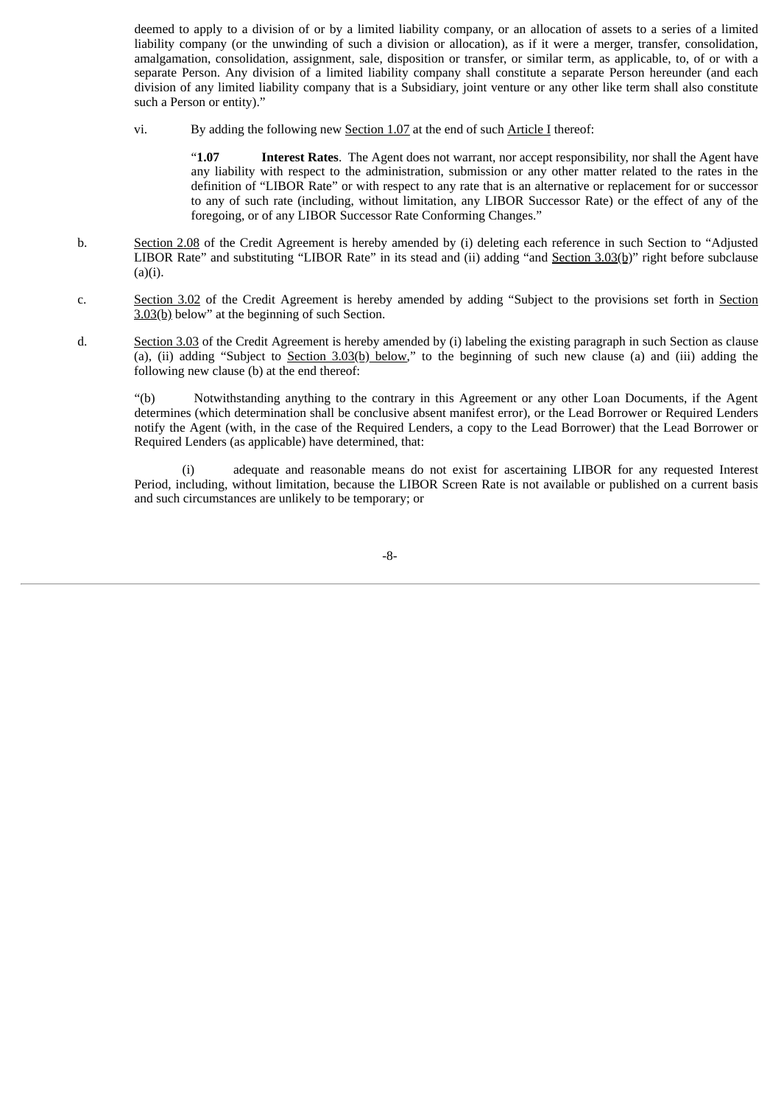deemed to apply to a division of or by a limited liability company, or an allocation of assets to a series of a limited liability company (or the unwinding of such a division or allocation), as if it were a merger, transfer, consolidation, amalgamation, consolidation, assignment, sale, disposition or transfer, or similar term, as applicable, to, of or with a separate Person. Any division of a limited liability company shall constitute a separate Person hereunder (and each division of any limited liability company that is a Subsidiary, joint venture or any other like term shall also constitute such a Person or entity)."

vi. By adding the following new Section 1.07 at the end of such Article I thereof:

"**1.07 Interest Rates**. The Agent does not warrant, nor accept responsibility, nor shall the Agent have any liability with respect to the administration, submission or any other matter related to the rates in the definition of "LIBOR Rate" or with respect to any rate that is an alternative or replacement for or successor to any of such rate (including, without limitation, any LIBOR Successor Rate) or the effect of any of the foregoing, or of any LIBOR Successor Rate Conforming Changes."

- b. Section 2.08 of the Credit Agreement is hereby amended by (i) deleting each reference in such Section to "Adjusted LIBOR Rate" and substituting "LIBOR Rate" in its stead and (ii) adding "and Section 3.03(b)" right before subclause  $(a)(i)$ .
- c. Section 3.02 of the Credit Agreement is hereby amended by adding "Subject to the provisions set forth in Section 3.03(b) below" at the beginning of such Section.
- d. Section 3.03 of the Credit Agreement is hereby amended by (i) labeling the existing paragraph in such Section as clause (a), (ii) adding "Subject to Section 3.03(b) below," to the beginning of such new clause (a) and (iii) adding the following new clause (b) at the end thereof:

"(b) Notwithstanding anything to the contrary in this Agreement or any other Loan Documents, if the Agent determines (which determination shall be conclusive absent manifest error), or the Lead Borrower or Required Lenders notify the Agent (with, in the case of the Required Lenders, a copy to the Lead Borrower) that the Lead Borrower or Required Lenders (as applicable) have determined, that:

adequate and reasonable means do not exist for ascertaining LIBOR for any requested Interest Period, including, without limitation, because the LIBOR Screen Rate is not available or published on a current basis and such circumstances are unlikely to be temporary; or

-8-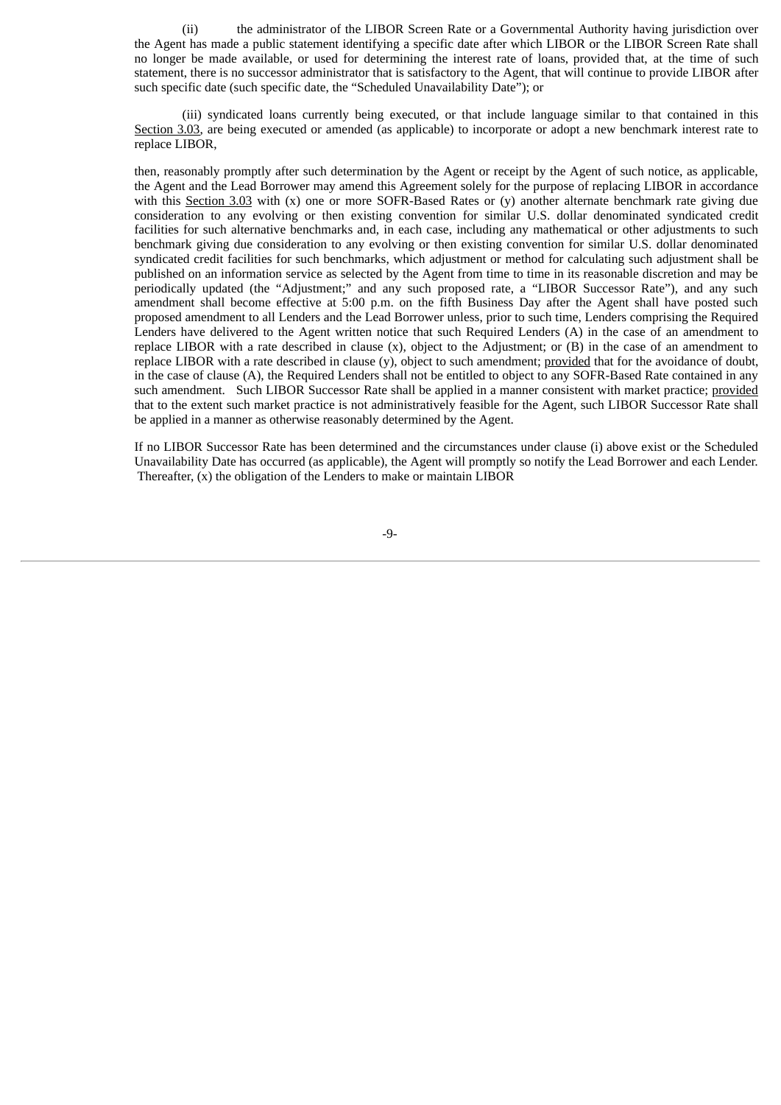(ii) the administrator of the LIBOR Screen Rate or a Governmental Authority having jurisdiction over the Agent has made a public statement identifying a specific date after which LIBOR or the LIBOR Screen Rate shall no longer be made available, or used for determining the interest rate of loans, provided that, at the time of such statement, there is no successor administrator that is satisfactory to the Agent, that will continue to provide LIBOR after such specific date (such specific date, the "Scheduled Unavailability Date"); or

(iii) syndicated loans currently being executed, or that include language similar to that contained in this Section 3.03, are being executed or amended (as applicable) to incorporate or adopt a new benchmark interest rate to replace LIBOR,

then, reasonably promptly after such determination by the Agent or receipt by the Agent of such notice, as applicable, the Agent and the Lead Borrower may amend this Agreement solely for the purpose of replacing LIBOR in accordance with this Section 3.03 with (x) one or more SOFR-Based Rates or (y) another alternate benchmark rate giving due consideration to any evolving or then existing convention for similar U.S. dollar denominated syndicated credit facilities for such alternative benchmarks and, in each case, including any mathematical or other adjustments to such benchmark giving due consideration to any evolving or then existing convention for similar U.S. dollar denominated syndicated credit facilities for such benchmarks, which adjustment or method for calculating such adjustment shall be published on an information service as selected by the Agent from time to time in its reasonable discretion and may be periodically updated (the "Adjustment;" and any such proposed rate, a "LIBOR Successor Rate"), and any such amendment shall become effective at 5:00 p.m. on the fifth Business Day after the Agent shall have posted such proposed amendment to all Lenders and the Lead Borrower unless, prior to such time, Lenders comprising the Required Lenders have delivered to the Agent written notice that such Required Lenders (A) in the case of an amendment to replace LIBOR with a rate described in clause (x), object to the Adjustment; or (B) in the case of an amendment to replace LIBOR with a rate described in clause  $(y)$ , object to such amendment; provided that for the avoidance of doubt, in the case of clause (A), the Required Lenders shall not be entitled to object to any SOFR-Based Rate contained in any such amendment. Such LIBOR Successor Rate shall be applied in a manner consistent with market practice; provided that to the extent such market practice is not administratively feasible for the Agent, such LIBOR Successor Rate shall be applied in a manner as otherwise reasonably determined by the Agent.

If no LIBOR Successor Rate has been determined and the circumstances under clause (i) above exist or the Scheduled Unavailability Date has occurred (as applicable), the Agent will promptly so notify the Lead Borrower and each Lender. Thereafter, (x) the obligation of the Lenders to make or maintain LIBOR

-9-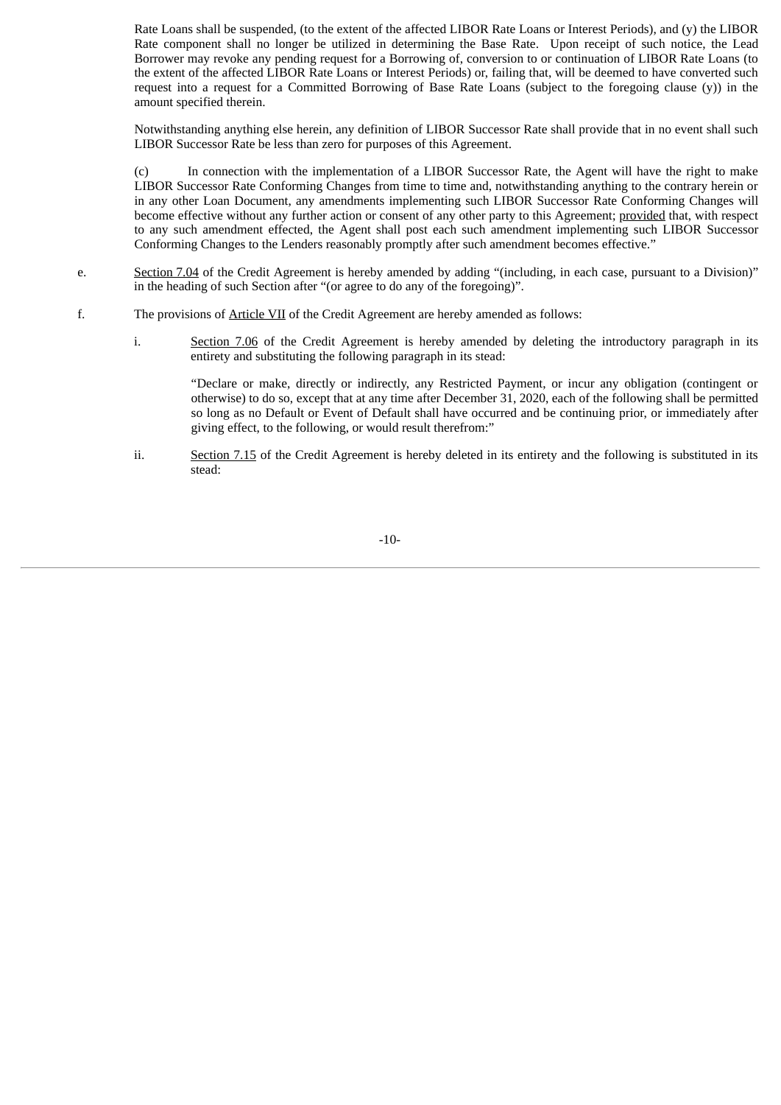Rate Loans shall be suspended, (to the extent of the affected LIBOR Rate Loans or Interest Periods), and (y) the LIBOR Rate component shall no longer be utilized in determining the Base Rate. Upon receipt of such notice, the Lead Borrower may revoke any pending request for a Borrowing of, conversion to or continuation of LIBOR Rate Loans (to the extent of the affected LIBOR Rate Loans or Interest Periods) or, failing that, will be deemed to have converted such request into a request for a Committed Borrowing of Base Rate Loans (subject to the foregoing clause (y)) in the amount specified therein.

Notwithstanding anything else herein, any definition of LIBOR Successor Rate shall provide that in no event shall such LIBOR Successor Rate be less than zero for purposes of this Agreement.

(c) In connection with the implementation of a LIBOR Successor Rate, the Agent will have the right to make LIBOR Successor Rate Conforming Changes from time to time and, notwithstanding anything to the contrary herein or in any other Loan Document, any amendments implementing such LIBOR Successor Rate Conforming Changes will become effective without any further action or consent of any other party to this Agreement; provided that, with respect to any such amendment effected, the Agent shall post each such amendment implementing such LIBOR Successor Conforming Changes to the Lenders reasonably promptly after such amendment becomes effective."

- e. Section 7.04 of the Credit Agreement is hereby amended by adding "(including, in each case, pursuant to a Division)" in the heading of such Section after "(or agree to do any of the foregoing)".
- f. The provisions of Article VII of the Credit Agreement are hereby amended as follows:
	- i. Section 7.06 of the Credit Agreement is hereby amended by deleting the introductory paragraph in its entirety and substituting the following paragraph in its stead:

"Declare or make, directly or indirectly, any Restricted Payment, or incur any obligation (contingent or otherwise) to do so, except that at any time after December 31, 2020, each of the following shall be permitted so long as no Default or Event of Default shall have occurred and be continuing prior, or immediately after giving effect, to the following, or would result therefrom:"

ii. Section 7.15 of the Credit Agreement is hereby deleted in its entirety and the following is substituted in its stead:

-10-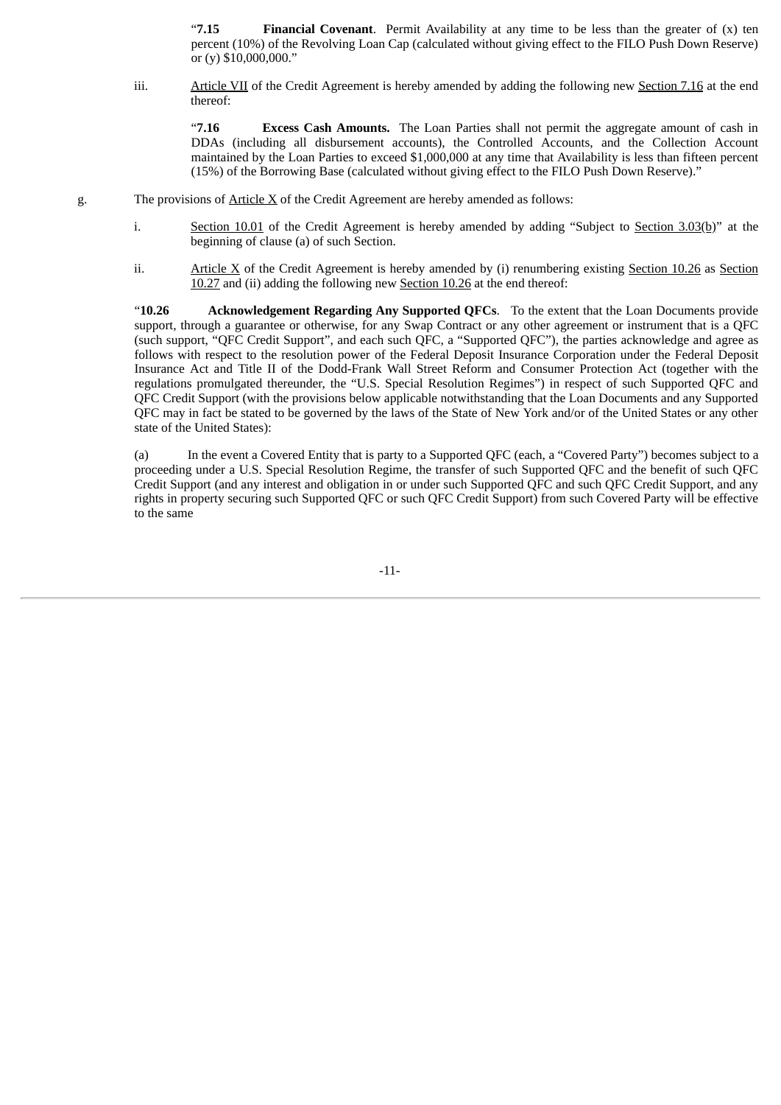"**7.15 Financial Covenant**. Permit Availability at any time to be less than the greater of (x) ten percent (10%) of the Revolving Loan Cap (calculated without giving effect to the FILO Push Down Reserve) or (y) \$10,000,000."

iii. Article VII of the Credit Agreement is hereby amended by adding the following new Section 7.16 at the end thereof:

"**7.16 Excess Cash Amounts.** The Loan Parties shall not permit the aggregate amount of cash in DDAs (including all disbursement accounts), the Controlled Accounts, and the Collection Account maintained by the Loan Parties to exceed \$1,000,000 at any time that Availability is less than fifteen percent (15%) of the Borrowing Base (calculated without giving effect to the FILO Push Down Reserve)."

- g. The provisions of Article X of the Credit Agreement are hereby amended as follows:
	- i. Section 10.01 of the Credit Agreement is hereby amended by adding "Subject to Section 3.03(b)" at the beginning of clause (a) of such Section.
	- ii. Article X of the Credit Agreement is hereby amended by (i) renumbering existing Section 10.26 as Section 10.27 and (ii) adding the following new Section 10.26 at the end thereof:

"**10.26 Acknowledgement Regarding Any Supported QFCs**. To the extent that the Loan Documents provide support, through a guarantee or otherwise, for any Swap Contract or any other agreement or instrument that is a QFC (such support, "QFC Credit Support", and each such QFC, a "Supported QFC"), the parties acknowledge and agree as follows with respect to the resolution power of the Federal Deposit Insurance Corporation under the Federal Deposit Insurance Act and Title II of the Dodd-Frank Wall Street Reform and Consumer Protection Act (together with the regulations promulgated thereunder, the "U.S. Special Resolution Regimes") in respect of such Supported QFC and QFC Credit Support (with the provisions below applicable notwithstanding that the Loan Documents and any Supported QFC may in fact be stated to be governed by the laws of the State of New York and/or of the United States or any other state of the United States):

(a) In the event a Covered Entity that is party to a Supported QFC (each, a "Covered Party") becomes subject to a proceeding under a U.S. Special Resolution Regime, the transfer of such Supported QFC and the benefit of such QFC Credit Support (and any interest and obligation in or under such Supported QFC and such QFC Credit Support, and any rights in property securing such Supported QFC or such QFC Credit Support) from such Covered Party will be effective to the same

-11-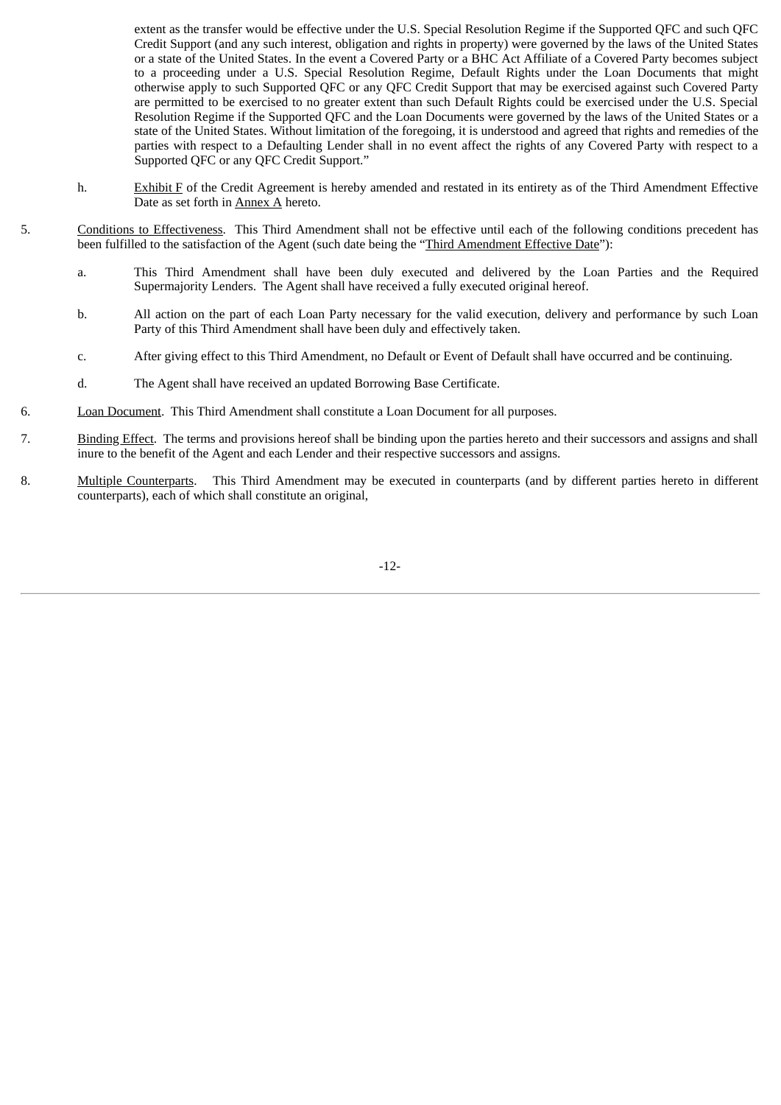extent as the transfer would be effective under the U.S. Special Resolution Regime if the Supported QFC and such QFC Credit Support (and any such interest, obligation and rights in property) were governed by the laws of the United States or a state of the United States. In the event a Covered Party or a BHC Act Affiliate of a Covered Party becomes subject to a proceeding under a U.S. Special Resolution Regime, Default Rights under the Loan Documents that might otherwise apply to such Supported QFC or any QFC Credit Support that may be exercised against such Covered Party are permitted to be exercised to no greater extent than such Default Rights could be exercised under the U.S. Special Resolution Regime if the Supported QFC and the Loan Documents were governed by the laws of the United States or a state of the United States. Without limitation of the foregoing, it is understood and agreed that rights and remedies of the parties with respect to a Defaulting Lender shall in no event affect the rights of any Covered Party with respect to a Supported QFC or any QFC Credit Support."

- h. Exhibit F of the Credit Agreement is hereby amended and restated in its entirety as of the Third Amendment Effective Date as set forth in Annex A hereto.
- 5. Conditions to Effectiveness. This Third Amendment shall not be effective until each of the following conditions precedent has been fulfilled to the satisfaction of the Agent (such date being the "Third Amendment Effective Date"):
	- a. This Third Amendment shall have been duly executed and delivered by the Loan Parties and the Required Supermajority Lenders. The Agent shall have received a fully executed original hereof.
	- b. All action on the part of each Loan Party necessary for the valid execution, delivery and performance by such Loan Party of this Third Amendment shall have been duly and effectively taken.
	- c. After giving effect to this Third Amendment, no Default or Event of Default shall have occurred and be continuing.
	- d. The Agent shall have received an updated Borrowing Base Certificate.
- 6. Loan Document. This Third Amendment shall constitute a Loan Document for all purposes.
- 7. Binding Effect. The terms and provisions hereof shall be binding upon the parties hereto and their successors and assigns and shall inure to the benefit of the Agent and each Lender and their respective successors and assigns.
- 8. Multiple Counterparts. This Third Amendment may be executed in counterparts (and by different parties hereto in different counterparts), each of which shall constitute an original,

-12-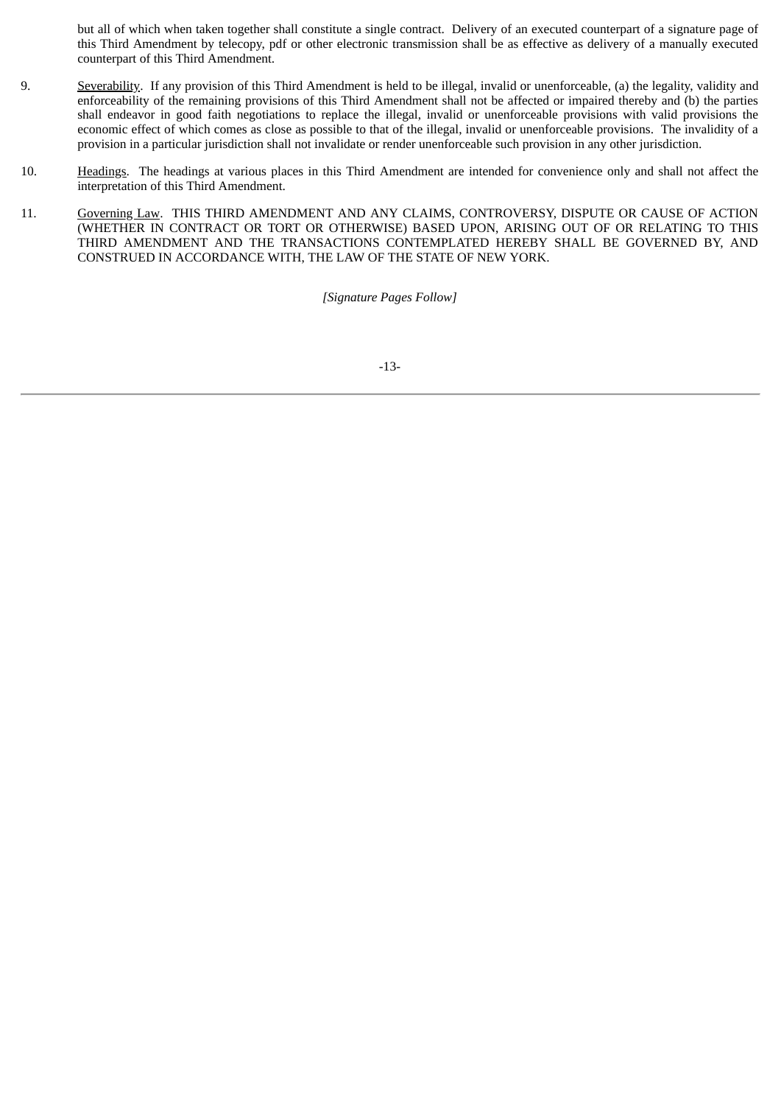but all of which when taken together shall constitute a single contract. Delivery of an executed counterpart of a signature page of this Third Amendment by telecopy, pdf or other electronic transmission shall be as effective as delivery of a manually executed counterpart of this Third Amendment.

- 9. Severability. If any provision of this Third Amendment is held to be illegal, invalid or unenforceable, (a) the legality, validity and enforceability of the remaining provisions of this Third Amendment shall not be affected or impaired thereby and (b) the parties shall endeavor in good faith negotiations to replace the illegal, invalid or unenforceable provisions with valid provisions the economic effect of which comes as close as possible to that of the illegal, invalid or unenforceable provisions. The invalidity of a provision in a particular jurisdiction shall not invalidate or render unenforceable such provision in any other jurisdiction.
- 10. Headings. The headings at various places in this Third Amendment are intended for convenience only and shall not affect the interpretation of this Third Amendment.
- 11. Governing Law. THIS THIRD AMENDMENT AND ANY CLAIMS, CONTROVERSY, DISPUTE OR CAUSE OF ACTION (WHETHER IN CONTRACT OR TORT OR OTHERWISE) BASED UPON, ARISING OUT OF OR RELATING TO THIS THIRD AMENDMENT AND THE TRANSACTIONS CONTEMPLATED HEREBY SHALL BE GOVERNED BY, AND CONSTRUED IN ACCORDANCE WITH, THE LAW OF THE STATE OF NEW YORK.

*[Signature Pages Follow]*

-13-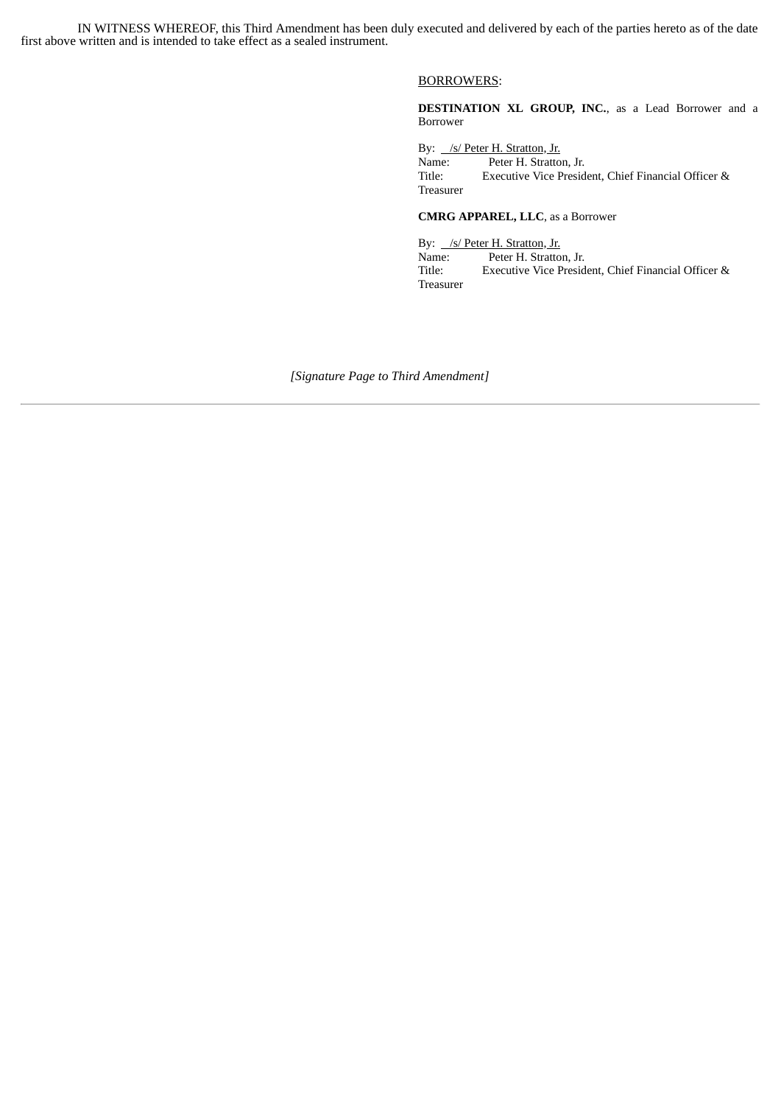IN WITNESS WHEREOF, this Third Amendment has been duly executed and delivered by each of the parties hereto as of the date first above written and is intended to take effect as a sealed instrument.

#### BORROWERS:

**DESTINATION XL GROUP, INC.**, as a Lead Borrower and a Borrower

By: /s/ Peter H. Stratton, Jr. Name: Peter H. Stratton, Jr. Title: Executive Vice President, Chief Financial Officer & Treasurer

#### **CMRG APPAREL, LLC**, as a Borrower

By: /s/ Peter H. Stratton, Jr. Name: Peter H. Stratton, Jr.<br>Title: Executive Vice Presid Executive Vice President, Chief Financial Officer & Treasurer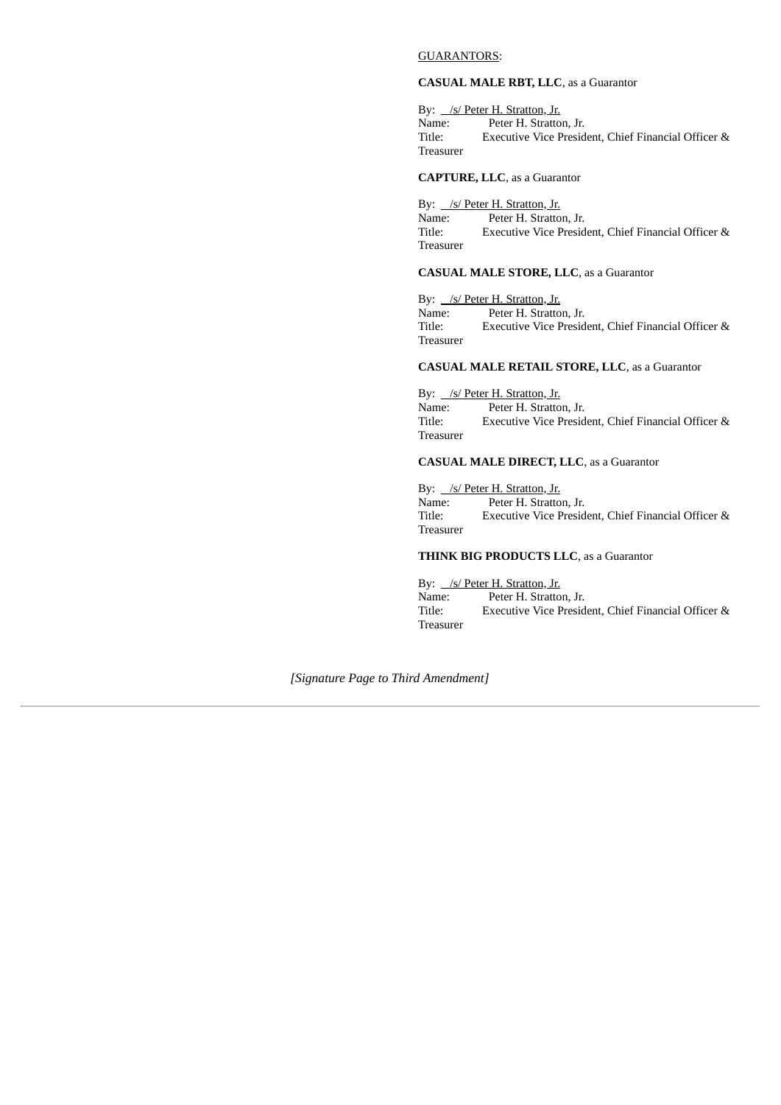#### GUARANTORS:

#### **CASUAL MALE RBT, LLC**, as a Guarantor

By: /s/ Peter H. Stratton, Jr.<br>Name: Peter H. Stratton Name: Peter H. Stratton, Jr.<br>Title: Executive Vice Presid Executive Vice President, Chief Financial Officer & Treasurer

**CAPTURE, LLC**, as a Guarantor

By: /s/ Peter H. Stratton, Jr. Name: Peter H. Stratton, Jr. Title: Executive Vice President, Chief Financial Officer & Treasurer

#### **CASUAL MALE STORE, LLC**, as a Guarantor

By: /s/ Peter H. Stratton, Jr. Name: Peter H. Stratton, Jr.<br>Title: Executive Vice Presid Executive Vice President, Chief Financial Officer & Treasurer

### **CASUAL MALE RETAIL STORE, LLC**, as a Guarantor

By: /s/ Peter H. Stratton, Jr. Name: Peter H. Stratton, Jr. Title: Executive Vice President, Chief Financial Officer & Treasurer

### **CASUAL MALE DIRECT, LLC**, as a Guarantor

By: /s/ Peter H. Stratton, Jr. Name: Peter H. Stratton, Jr. Title: Executive Vice President, Chief Financial Officer & Treasurer

### **THINK BIG PRODUCTS LLC**, as a Guarantor

By: /s/ Peter H. Stratton, Jr.<br>Name: Peter H. Stratton Peter H. Stratton, Jr. Title: Executive Vice President, Chief Financial Officer & Treasurer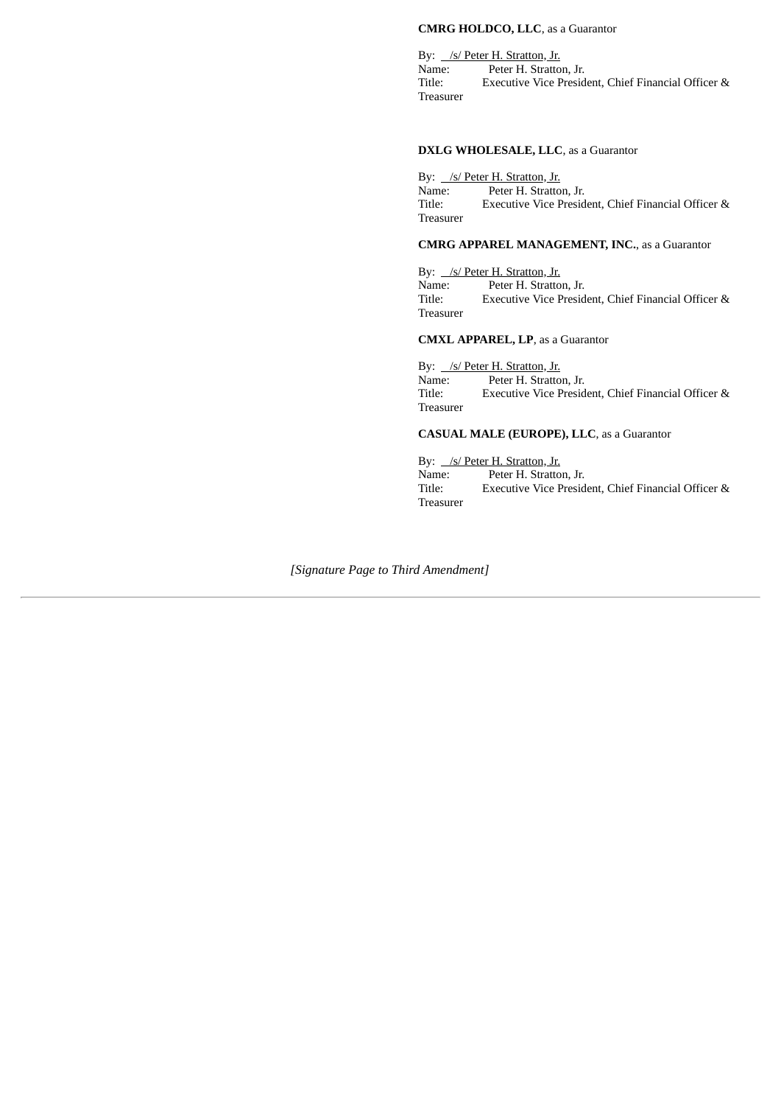#### **CMRG HOLDCO, LLC**, as a Guarantor

By: /s/ Peter H. Stratton, Jr. Name: Peter H. Stratton, Jr.<br>Title: Executive Vice Presid Executive Vice President, Chief Financial Officer & Treasurer

#### **DXLG WHOLESALE, LLC**, as a Guarantor

By: /s/ Peter H. Stratton, Jr. Name: Peter H. Stratton, Jr. Title: Executive Vice President, Chief Financial Officer & Treasurer

### **CMRG APPAREL MANAGEMENT, INC.**, as a Guarantor

By: /s/ Peter H. Stratton, Jr. Name: Peter H. Stratton, Jr.<br>Title: Executive Vice Presid Executive Vice President, Chief Financial Officer & Treasurer

#### **CMXL APPAREL, LP**, as a Guarantor

By: /s/ Peter H. Stratton, Jr.<br>Name: Peter H. Stratto Name: Peter H. Stratton, Jr.<br>Title: Executive Vice Presid Executive Vice President, Chief Financial Officer & Treasurer

#### **CASUAL MALE (EUROPE), LLC**, as a Guarantor

### By: /s/ Peter H. Stratton, Jr.

Name: Peter H. Stratton, Jr. Title: Executive Vice President, Chief Financial Officer & Treasurer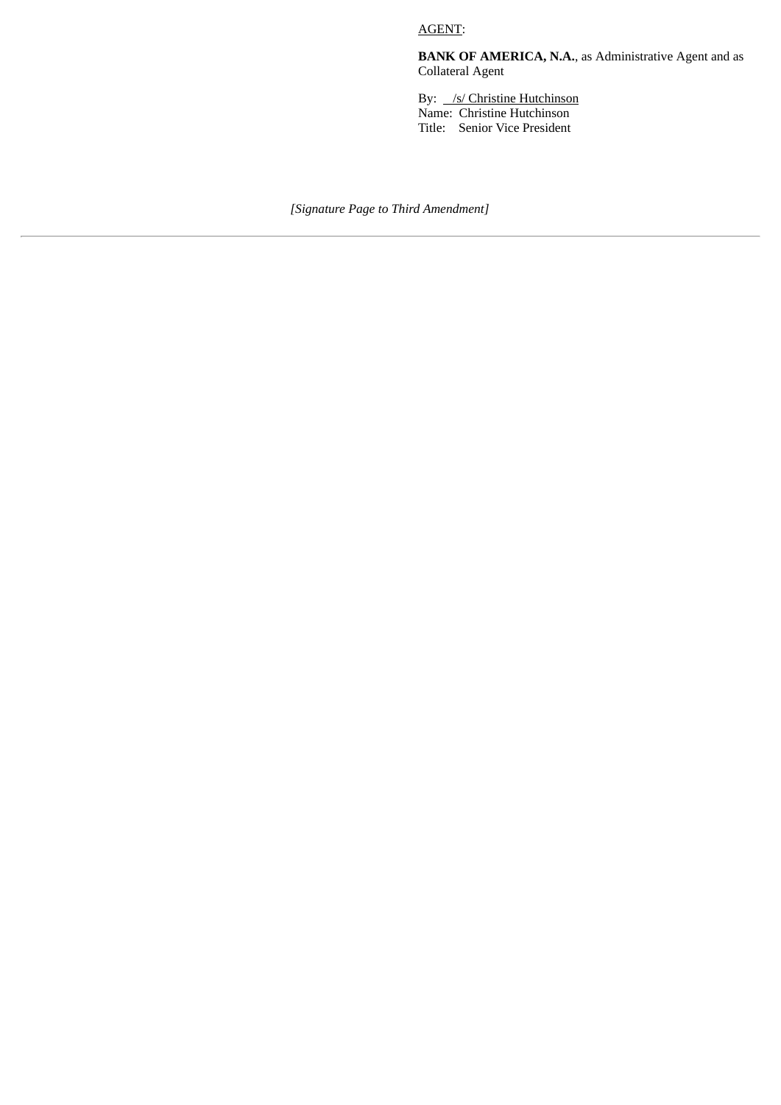AGENT:

**BANK OF AMERICA, N.A.**, as Administrative Agent and as Collateral Agent

By: /s/ Christine Hutchinson Name: Christine Hutchinson Title: Senior Vice President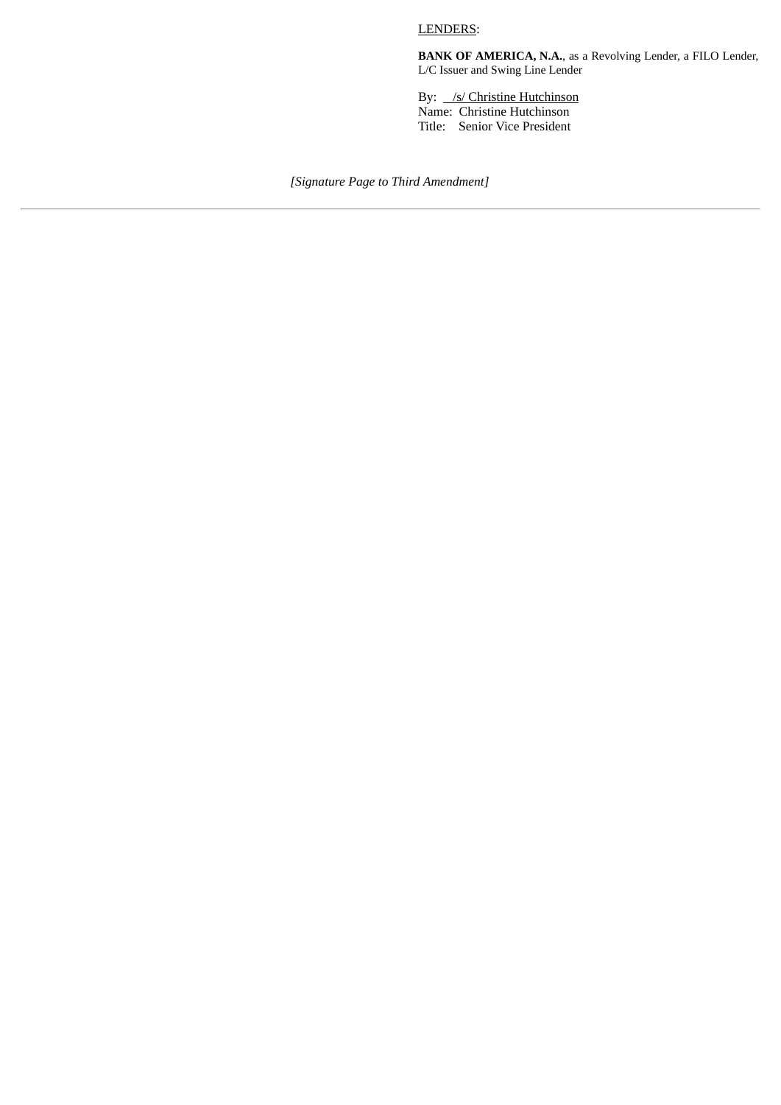### LENDERS:

**BANK OF AMERICA, N.A.**, as a Revolving Lender, a FILO Lender, L/C Issuer and Swing Line Lender

By: /s/ Christine Hutchinson Name: Christine Hutchinson Title: Senior Vice President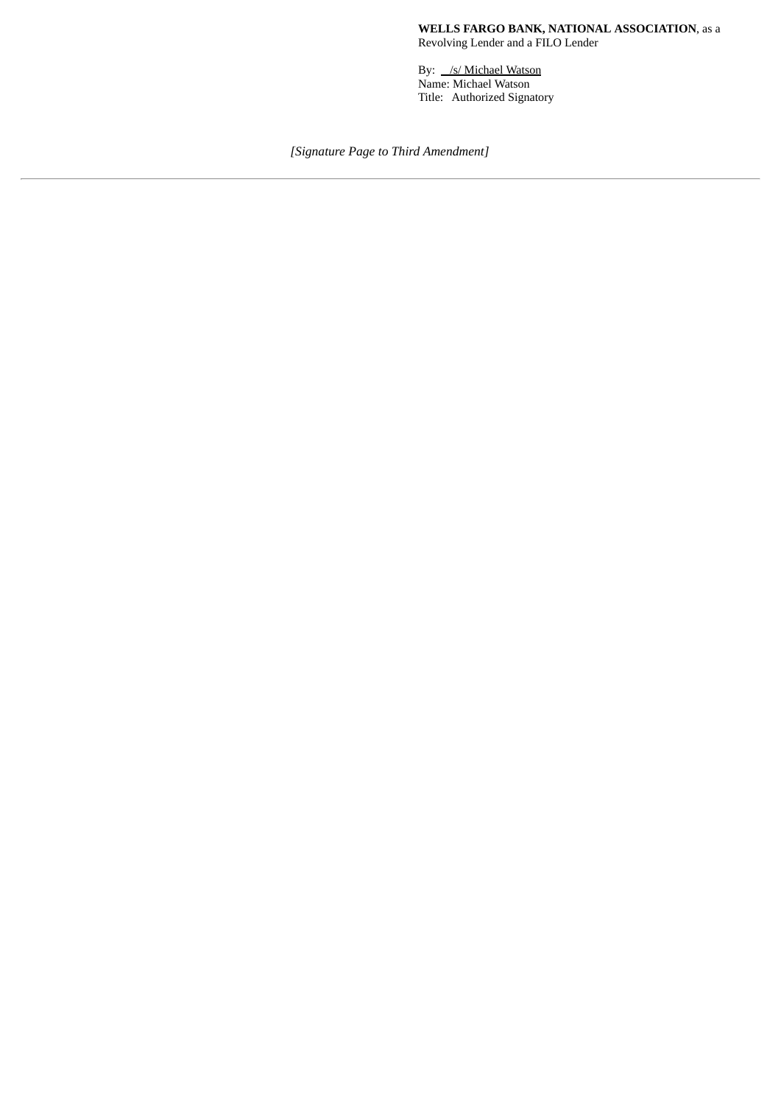By: /s/ Michael Watson Name: Michael Watson Title: Authorized Signatory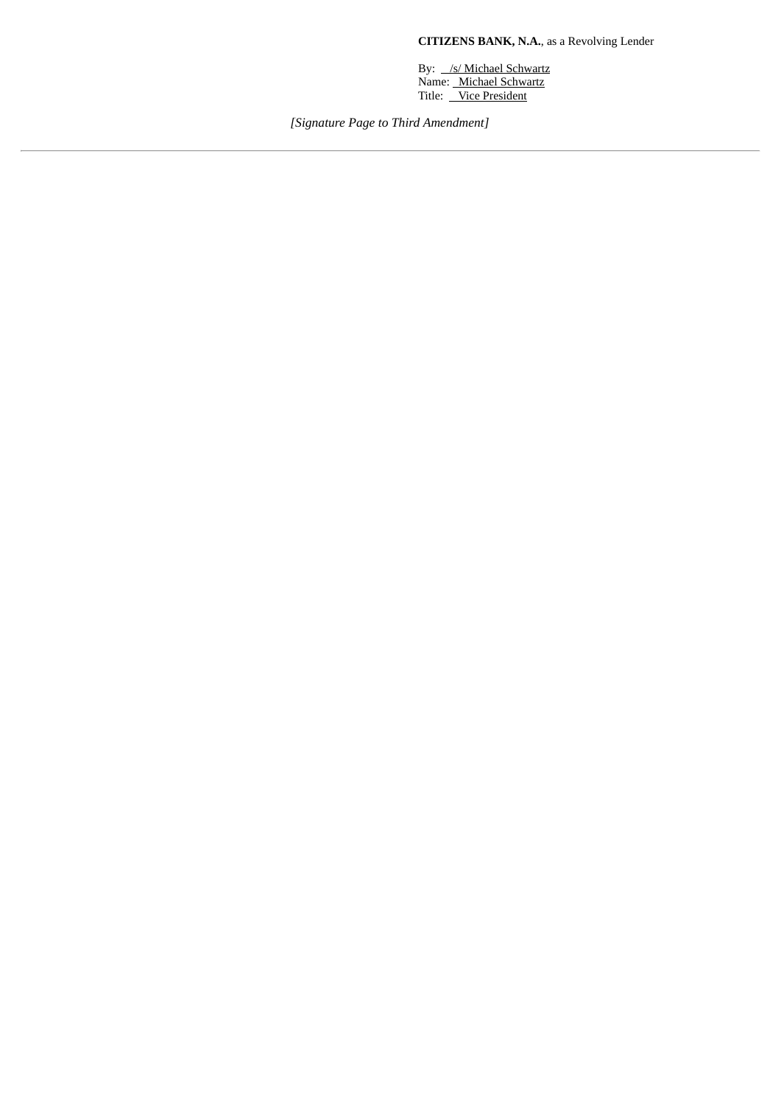**CITIZENS BANK, N.A.**, as a Revolving Lender

By: /s/ Michael Schwartz Name: Michael Schwartz Title: Vice President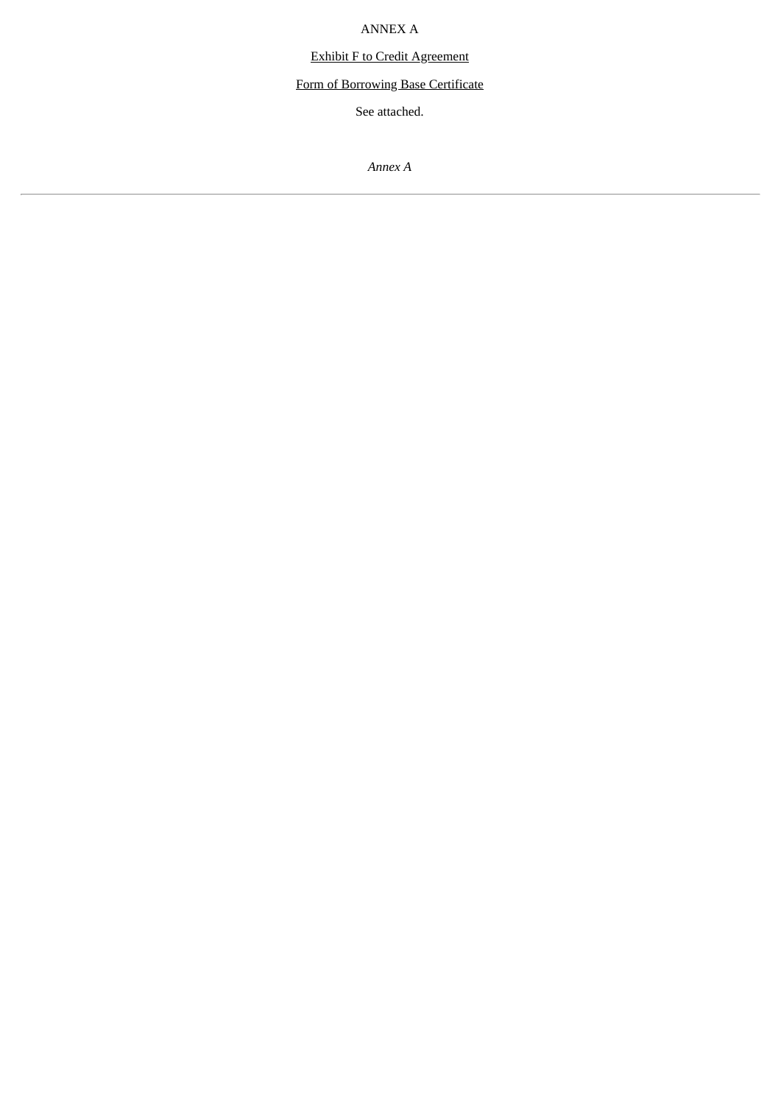ANNEX A

Exhibit F to Credit Agreement

Form of Borrowing Base Certificate

See attached.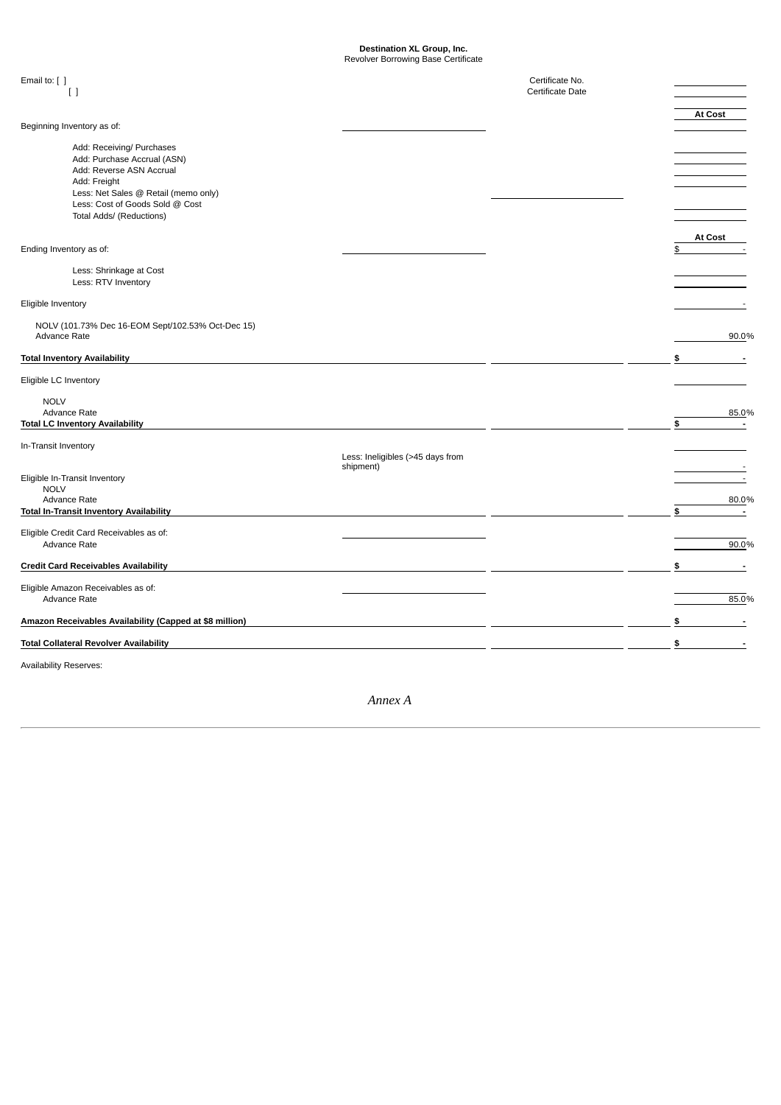#### **Destination XL Group, Inc.** Revolver Borrowing Base Certificate

Email to: [ ] Certificate No. [ ] Certificate Date **At Cost** Beginning Inventory as of: Add: Receiving/ Purchases Add: Purchase Accrual (ASN) Add: Reverse ASN Accrual Add: Freight Less: Net Sales @ Retail (memo only) Less: Cost of Goods Sold @ Cost Total Adds/ (Reductions) **At Cost** Ending Inventory as of: Less: Shrinkage at Cost Less: RTV Inventory Eligible Inventory - NOLV (101.73% Dec 16-EOM Sept/102.53% Oct-Dec 15) Advance Rate 90.0% **Total Inventory Availability \$ -** Eligible LC Inventory NOLV<br>Advance Rate Advance Rate  $85.0\%$ **Total LC Inventory Availability \$ -** In-Transit Inventory Less: Ineligibles (>45 days from<br>shipment) shipment) that is a state of the state of the state of the state of the state of the state of the state of the Eligible In-Transit Inventory - NOLV<br>Advance Rate Advance Rate  $80.0\%$ **Total In-Transit Inventory Availability \$ -** Eligible Credit Card Receivables as of: Advance Rate 20.0% and the set of the set of the set of the set of the set of the set of the set of the set of the set of the set of the set of the set of the set of the set of the set of the set of the set of the set of t **Credit Card Receivables Availability \$ -** Eligible Amazon Receivables as of: Advance Rate  $85.0\%$ **Amazon Receivables Availability (Capped at \$8 million) \$ - Total Collateral Revolver Availability \$ -**

Availability Reserves: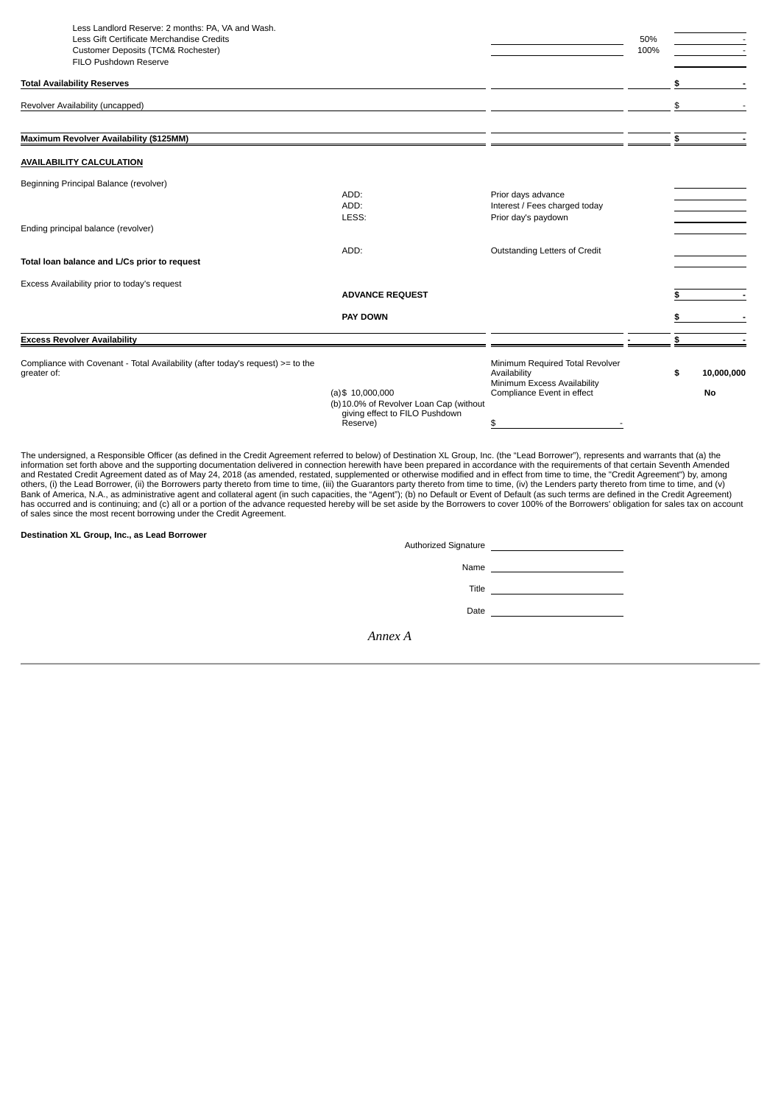| Less Landlord Reserve: 2 months: PA, VA and Wash.                               |                                         |                                                           |      |                  |
|---------------------------------------------------------------------------------|-----------------------------------------|-----------------------------------------------------------|------|------------------|
| Less Gift Certificate Merchandise Credits                                       |                                         |                                                           | 50%  |                  |
| <b>Customer Deposits (TCM&amp; Rochester)</b>                                   |                                         |                                                           | 100% |                  |
| FILO Pushdown Reserve                                                           |                                         |                                                           |      |                  |
| <b>Total Availability Reserves</b>                                              |                                         |                                                           |      | \$               |
| Revolver Availability (uncapped)                                                |                                         |                                                           |      | \$               |
|                                                                                 |                                         |                                                           |      |                  |
| Maximum Revolver Availability (\$125MM)                                         |                                         |                                                           |      | \$               |
| <b>AVAILABILITY CALCULATION</b>                                                 |                                         |                                                           |      |                  |
| Beginning Principal Balance (revolver)                                          |                                         |                                                           |      |                  |
|                                                                                 | ADD:                                    | Prior days advance                                        |      |                  |
|                                                                                 | ADD:                                    | Interest / Fees charged today                             |      |                  |
| Ending principal balance (revolver)                                             | LESS:                                   | Prior day's paydown                                       |      |                  |
|                                                                                 |                                         |                                                           |      |                  |
|                                                                                 | ADD:                                    | Outstanding Letters of Credit                             |      |                  |
| Total loan balance and L/Cs prior to request                                    |                                         |                                                           |      |                  |
| Excess Availability prior to today's request                                    |                                         |                                                           |      |                  |
|                                                                                 | <b>ADVANCE REQUEST</b>                  |                                                           |      | \$               |
|                                                                                 | <b>PAY DOWN</b>                         |                                                           |      | \$               |
| <b>Excess Revolver Availability</b>                                             |                                         |                                                           |      | \$               |
| Compliance with Covenant - Total Availability (after today's request) >= to the |                                         | Minimum Required Total Revolver                           |      |                  |
| greater of:                                                                     |                                         | Availability                                              |      | \$<br>10,000,000 |
|                                                                                 | $(a)$ \$ 10,000,000                     | Minimum Excess Availability<br>Compliance Event in effect |      | No               |
|                                                                                 | (b) 10.0% of Revolver Loan Cap (without |                                                           |      |                  |
|                                                                                 | giving effect to FILO Pushdown          |                                                           |      |                  |
|                                                                                 | Reserve)                                | \$                                                        |      |                  |

The undersigned, a Responsible Officer (as defined in the Credit Agreement referred to below) of Destination XL Group, Inc. (the "Lead Borrower"), represents and warrants that (a) the<br>information set forth above and the su others, (i) the Lead Borrower, (ii) the Borrowers party thereto from time to time, (iii) the Guarantors party thereto from time to time, (iv) the Lenders party thereto from time to time, and (v)<br>Bank of America, N.A., as a

**Destination XL Group, Inc., as Lead Borrower**

| Authorized Signature | <u> 1980 - Jan Samuel Barbara, martin d</u> |
|----------------------|---------------------------------------------|
| Name                 |                                             |
| Title                |                                             |
| Date                 |                                             |
|                      |                                             |